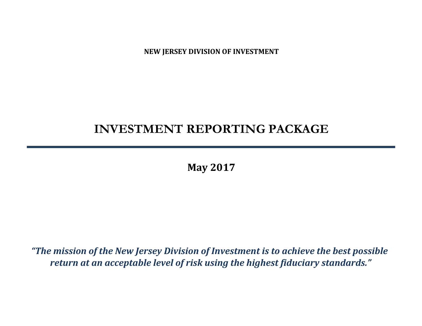**NEW JERSEY DIVISION OF INVESTMENT**

# **INVESTMENT REPORTING PACKAGE**

**May 2017**

*"The mission of the New Jersey Division of Investment is to achieve the best possible return at an acceptable level of risk using the highest fiduciary standards."*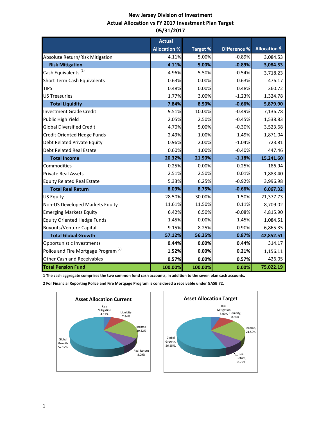### **New Jersey Division of Investment Actual Allocation vs FY 2017 Investment Plan Target 05/31/2017**

|                                                 | <b>Actual</b>       |                 |                     |                      |
|-------------------------------------------------|---------------------|-----------------|---------------------|----------------------|
|                                                 | <b>Allocation %</b> | <b>Target %</b> | <b>Difference %</b> | <b>Allocation \$</b> |
| Absolute Return/Risk Mitigation                 | 4.11%               | 5.00%           | $-0.89%$            | 3,084.53             |
| <b>Risk Mitigation</b>                          | 4.11%               | 5.00%           | $-0.89%$            | 3,084.53             |
| Cash Equivalents <sup>(1)</sup>                 | 4.96%               | 5.50%           | $-0.54%$            | 3,718.23             |
| <b>Short Term Cash Equivalents</b>              | 0.63%               | 0.00%           | 0.63%               | 476.17               |
| <b>TIPS</b>                                     | 0.48%               | 0.00%           | 0.48%               | 360.72               |
| <b>US Treasuries</b>                            | 1.77%               | 3.00%           | $-1.23%$            | 1,324.78             |
| <b>Total Liquidity</b>                          | 7.84%               | 8.50%           | $-0.66%$            | 5,879.90             |
| <b>Investment Grade Credit</b>                  | 9.51%               | 10.00%          | $-0.49%$            | 7,136.78             |
| Public High Yield                               | 2.05%               | 2.50%           | $-0.45%$            | 1,538.83             |
| <b>Global Diversified Credit</b>                | 4.70%               | 5.00%           | $-0.30%$            | 3,523.68             |
| Credit Oriented Hedge Funds                     | 2.49%               | 1.00%           | 1.49%               | 1,871.04             |
| Debt Related Private Equity                     | 0.96%               | 2.00%           | $-1.04%$            | 723.81               |
| <b>Debt Related Real Estate</b>                 | 0.60%               | 1.00%           | $-0.40%$            | 447.46               |
| <b>Total Income</b>                             | 20.32%              | 21.50%          | $-1.18%$            | 15,241.60            |
| Commodities                                     | 0.25%               | 0.00%           | 0.25%               | 186.94               |
| <b>Private Real Assets</b>                      | 2.51%               | 2.50%           | 0.01%               | 1,883.40             |
| <b>Equity Related Real Estate</b>               | 5.33%               | 6.25%           | $-0.92%$            | 3,996.98             |
| <b>Total Real Return</b>                        | 8.09%               | 8.75%           | $-0.66%$            | 6,067.32             |
| <b>US Equity</b>                                | 28.50%              | 30.00%          | $-1.50%$            | 21,377.73            |
| Non-US Developed Markets Equity                 | 11.61%              | 11.50%          | 0.11%               | 8,709.02             |
| <b>Emerging Markets Equity</b>                  | 6.42%               | 6.50%           | $-0.08%$            | 4,815.90             |
| <b>Equity Oriented Hedge Funds</b>              | 1.45%               | 0.00%           | 1.45%               | 1,084.51             |
| <b>Buyouts/Venture Capital</b>                  | 9.15%               | 8.25%           | 0.90%               | 6,865.35             |
| <b>Total Global Growth</b>                      | 57.12%              | 56.25%          | 0.87%               | 42,852.51            |
| Opportunistic Investments                       | 0.44%               | 0.00%           | 0.44%               | 314.17               |
| Police and Fire Mortgage Program <sup>(2)</sup> | 1.52%               | 0.00%           | 0.21%               | 1,156.11             |
| <b>Other Cash and Receivables</b>               | 0.57%               | 0.00%           | 0.57%               | 426.05               |
| <b>Total Pension Fund</b>                       | 100.00%             | 100.00%         | 0.00%               | 75,022.19            |

**1 The cash aggregate comprises the two common fund cash accounts, in addition to the seven plan cash accounts.** 

**2 For Financial Reporting Police and Fire Mortgage Program is considered a receivable under GASB 72.**



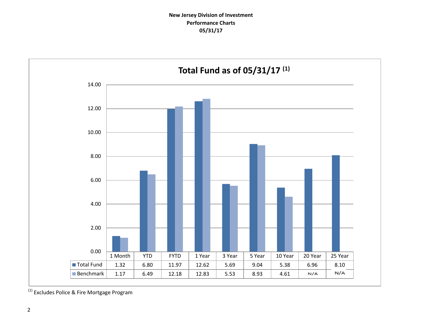

 $<sup>(1)</sup>$  Excludes Police & Fire Mortgage Program</sup>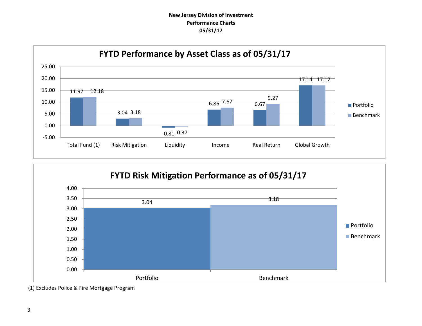### **New Jersey Division of Investment Performance Charts 05/31/17**





<sup>(1)</sup> Excludes Police & Fire Mortgage Program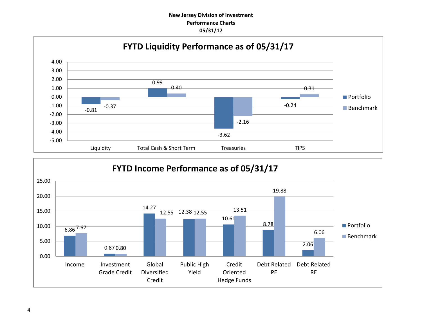### **New Jersey Division of Investment Performance Charts 05/31/17**



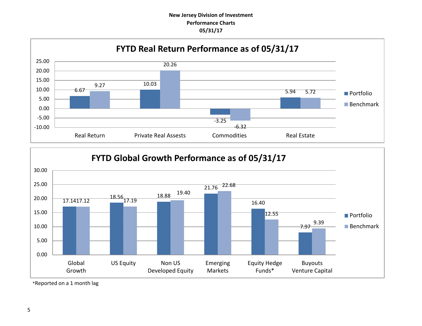### **New Jersey Division of Investment Performance Charts 05/31/17**





\*Reported on a 1 month lag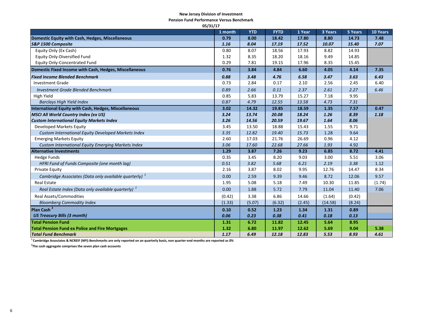#### **New Jersey Division of Investment**

**Pension Fund Performance Versus Benchmark**

| 05/31/17                                                          |         |            |             |        |         |         |          |
|-------------------------------------------------------------------|---------|------------|-------------|--------|---------|---------|----------|
|                                                                   | 1 month | <b>YTD</b> | <b>FYTD</b> | 1 Year | 3 Years | 5 Years | 10 Years |
| Domestic Equity with Cash, Hedges, Miscellaneous                  | 0.79    | 8.00       | 18.42       | 17.80  | 8.80    | 14.73   | 7.48     |
| S&P 1500 Composite                                                | 1.16    | 8.04       | 17.19       | 17.52  | 10.07   | 15.40   | 7.07     |
| Equity Only (Ex Cash)                                             | 0.80    | 8.07       | 18.56       | 17.93  | 8.82    | 14.93   |          |
| Equity Only-Diversified Fund                                      | 1.32    | 8.35       | 18.20       | 18.16  | 9.49    | 14.85   |          |
| Equity Only-Concentrated Fund                                     | 0.29    | 7.81       | 19.15       | 17.96  | 8.35    | 15.45   |          |
| Domestic Fixed Income with Cash, Hedges, Miscellaneous            | 0.76    | 3.84       | 4.84        | 6.60   | 4.05    | 4.14    | 7.35     |
| <b>Fixed Income Blended Benchmark</b>                             | 0.88    | 3.48       | 4.76        | 6.58   | 3.47    | 3.63    | 6.43     |
| <b>Investment Grade</b>                                           | 0.73    | 2.84       | 0.17        | 2.10   | 2.56    | 2.45    | 6.40     |
| <b>Investment Grade Blended Benchmark</b>                         | 0.89    | 2.66       | 0.11        | 2.37   | 2.61    | 2.27    | 6.46     |
| High Yield                                                        | 0.85    | 5.83       | 13.79       | 15.27  | 7.18    | 9.95    |          |
| <b>Barclays High Yield Index</b>                                  | 0.87    | 4.79       | 12.55       | 13.58  | 4.73    | 7.31    |          |
| International Equity with Cash, Hedges, Miscellaneous             | 3.02    | 14.32      | 19.85       | 18.59  | 1.35    | 7.57    | 0.47     |
| <b>MSCI All World Country Index (ex US)</b>                       | 3.24    | 13.74      | 20.08       | 18.24  | 1.26    | 8.39    | 1.18     |
| <b>Custom International Equity Markets Index</b>                  | 3.26    | 14.56      | 20.59       | 19.67  | 1.64    | 8.06    |          |
| Developed Markets Equity                                          | 3.45    | 13.50      | 18.88       | 15.43  | 1.55    | 9.71    |          |
| Custom International Equity Developed Markets Index               | 3.35    | 12.82      | 19.40       | 15.73  | 1.28    | 9.64    |          |
| <b>Emerging Markets Equity</b>                                    | 2.60    | 17.03      | 21.76       | 26.69  | 0.96    | 4.12    |          |
| Custom International Equity Emerging Markets Index                | 3.06    | 17.60      | 22.68       | 27.66  | 1.93    | 4.92    |          |
| <b>Alternative Investments</b>                                    | 1.29    | 3.87       | 7.26        | 9.23   | 6.85    | 8.72    | 4.41     |
| <b>Hedge Funds</b>                                                | 0.35    | 3.45       | 8.20        | 9.03   | 3.00    | 5.51    | 3.06     |
| HFRI Fund of Funds Composite (one month lag)                      | 0.51    | 3.82       | 5.68        | 6.21   | 2.19    | 3.38    | 1.12     |
| Private Equity                                                    | 2.16    | 3.87       | 8.02        | 9.95   | 12.76   | 14.47   | 8.34     |
| Cambridge Associates (Data only available quarterly) <sup>1</sup> | 0.00    | 2.59       | 9.39        | 9.46   | 8.72    | 12.06   | 9.57     |
| <b>Real Estate</b>                                                | 1.95    | 5.08       | 5.18        | 7.49   | 10.30   | 11.85   | (1.74)   |
| Real Estate Index (Data only available quarterly) <sup>1</sup>    | 0.00    | 1.88       | 5.72        | 7.79   | 11.04   | 11.40   | 7.06     |
| <b>Real Assets/Commodities</b>                                    | (0.42)  | 3.38       | 6.86        | 14.66  | (1.64)  | (0.42)  |          |
| <b>Bloomberg Commodity Index</b>                                  | (1.33)  | (5.07)     | (6.32)      | (2.45) | (14.58) | (8.24)  |          |
| Plan Cash <sup>2</sup>                                            | 0.10    | 0.52       | 1.23        | 1.34   | 1.31    | 0.89    |          |
| <b>US Treasury Bills (3 month)</b>                                | 0.06    | 0.23       | 0.38        | 0.41   | 0.18    | 0.13    |          |
| <b>Total Pension Fund</b>                                         | 1.31    | 6.72       | 11.82       | 12.45  | 5.64    | 8.95    |          |
| <b>Total Pension Fund ex Police and Fire Mortgages</b>            | 1.32    | 6.80       | 11.97       | 12.62  | 5.69    | 9.04    | 5.38     |
| <b>Total Fund Benchmark</b>                                       | 1.17    | 6.49       | 12.18       | 12.83  | 5.53    | 8.93    | 4.61     |

**<sup>1</sup>Cambridge Associates & NCREIF (NPI) Benchmarks are only reported on an quarterly basis, non quarter-end months are reported as 0%**

**2 The cash aggregate comprises the seven plan cash accounts**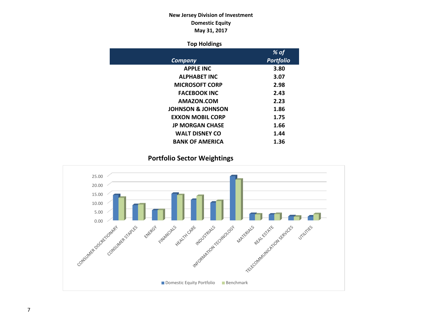### **New Jersey Division of Investment Domestic Equity May 31, 2017**

### **Top Holdings**

|                              | % of             |
|------------------------------|------------------|
| Company                      | <b>Portfolio</b> |
| <b>APPLE INC</b>             | 3.80             |
| <b>ALPHABET INC</b>          | 3.07             |
| <b>MICROSOFT CORP</b>        | 2.98             |
| <b>FACEBOOK INC</b>          | 2.43             |
| AMAZON.COM                   | 2.23             |
| <b>JOHNSON &amp; JOHNSON</b> | 1.86             |
| <b>EXXON MOBIL CORP</b>      | 1.75             |
| <b>JP MORGAN CHASE</b>       | 1.66             |
| <b>WALT DISNEY CO</b>        | 1.44             |
| <b>BANK OF AMERICA</b>       | 1.36             |

**Portfolio Sector Weightings**

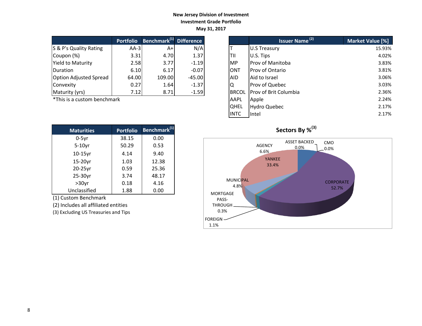### **New Jersey Division of Investment Investment Grade Portfolio May 31, 2017**

|                          | <b>Portfolio</b> | Benchmark <sup>(1)</sup> | <b>Difference</b> |
|--------------------------|------------------|--------------------------|-------------------|
| S & P's Quality Rating   | $AA-3$           | A+l                      | N/A               |
| Coupon (%)               | 3.31             | 4.70                     | 1.37              |
| <b>Yield to Maturity</b> | 2.58             | 3.77                     | $-1.19$           |
| Duration                 | 6.10             | 6.17                     | $-0.07$           |
| Option Adjusted Spread   | 64.00            | 109.00                   | $-45.00$          |
| Convexity                | 0.27             | 1.64                     | $-1.37$           |
| Maturity (yrs)           | 7.12             | 8.71                     | $-1.59$           |

| <b>Maturities</b> | <b>Portfolio</b> | Benchmark <sup>(1)</sup> |
|-------------------|------------------|--------------------------|
| $0-5$ yr          | 38.15            | 0.00                     |
| $5-10$ yr         | 50.29            | 0.53                     |
| $10-15$ yr        | 4.14             | 9.40                     |
| 15-20yr           | 1.03             | 12.38                    |
| 20-25yr           | 0.59             | 25.36                    |
| 25-30yr           | 3.74             | 48.17                    |
| $>30$ yr          | 0.18             | 4.16                     |
| Unclassified      | 1.88             | 0.00                     |

(1) Custom Benchmark

(2) Includes all affiliated entities

(3) Excluding US Treasuries and Tips

|                             | <b>Portfolio</b> | Benchmark <sup>(1)</sup> Difference |          |              | <b>Issuer Name<sup>(2)</sup></b> | Market Value [%] |
|-----------------------------|------------------|-------------------------------------|----------|--------------|----------------------------------|------------------|
| S & P's Quality Rating      | $AA-3$           | $A+$                                | N/A      |              | <b>U.S Treasury</b>              | 15.93%           |
| Coupon (%)                  | 3.31             | 4.70                                | 1.37     | ltii         | U.S. Tips                        | 4.02%            |
| Yield to Maturity           | 2.58             | 3.77                                | $-1.19$  | <b>MP</b>    | <b>Prov of Manitoba</b>          | 3.83%            |
| <b>Duration</b>             | 6.10             | 6.17                                | $-0.07$  | <b>ONT</b>   | <b>Prov of Ontario</b>           | 3.81%            |
| Option Adjusted Spread      | 64.00            | 109.00                              | $-45.00$ | AID.         | Aid to Israel                    | 3.06%            |
| Convexity                   | 0.27             | 1.64                                | $-1.37$  | ΙQ           | Prov of Quebec                   | 3.03%            |
| Maturity (yrs)              | 7.12             | 8.71                                | $-1.59$  | <b>BRCOL</b> | <b>Prov of Brit Columbia</b>     | 2.36%            |
| *This is a custom benchmark |                  |                                     |          | AAPL         | Apple                            | 2.24%            |
|                             |                  |                                     |          | <b>QHEL</b>  | <b>Hydro Quebec</b>              | 2.17%            |
|                             |                  |                                     |          | <b>INTC</b>  | <b>Intel</b>                     | 2.17%            |



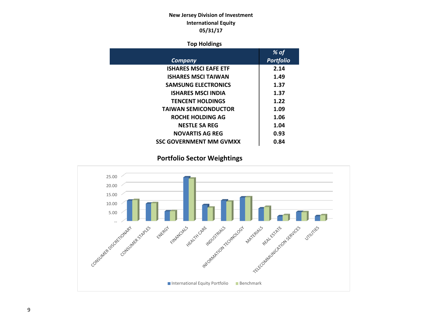### **New Jersey Division of Investment International Equity 05/31/17**

### **Top Holdings**

|                                | % of             |
|--------------------------------|------------------|
| Company                        | <b>Portfolio</b> |
| <b>ISHARES MSCI EAFE ETF</b>   | 2.14             |
| <b>ISHARES MSCI TAIWAN</b>     | 1.49             |
| <b>SAMSUNG ELECTRONICS</b>     | 1.37             |
| <b>ISHARES MSCI INDIA</b>      | 1.37             |
| <b>TENCENT HOLDINGS</b>        | 1.22             |
| <b>TAIWAN SEMICONDUCTOR</b>    | 1.09             |
| ROCHE HOLDING AG               | 1.06             |
| <b>NESTLE SA REG</b>           | 1.04             |
| <b>NOVARTIS AG REG</b>         | 0.93             |
| <b>SSC GOVERNMENT MM GVMXX</b> | 0.84             |

 **Portfolio Sector Weightings**

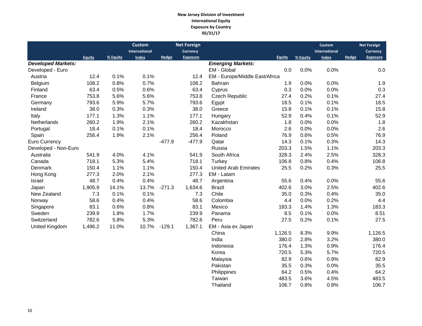#### **New Jersey Division of Investment International Equity Exposure by Country 05/31/17**

|                           |         |          | <b>Custom</b> |          | <b>Net Foreign</b> |                                |               |          | <b>Custom</b> |              | <b>Net Foreign</b> |
|---------------------------|---------|----------|---------------|----------|--------------------|--------------------------------|---------------|----------|---------------|--------------|--------------------|
|                           |         |          | International |          | <b>Currency</b>    |                                |               |          | International |              | <b>Currency</b>    |
|                           | Equity  | % Equity | <b>Index</b>  | Hedge    | <b>Exposure</b>    |                                | <b>Equity</b> | % Equity | Index         | <b>Hedge</b> | <b>Exposure</b>    |
| <b>Developed Markets:</b> |         |          |               |          |                    | <b>Emerging Markets:</b>       |               |          |               |              |                    |
| Developed - Euro          |         |          |               |          |                    | EM - Global                    | 0.0           | 0.0%     | 0.0%          |              | 0.0                |
| Austria                   | 12.4    | 0.1%     | 0.1%          |          | 12.4               | EM - Europe/Middle East/Africa |               |          |               |              |                    |
| Belgium                   | 108.2   | 0.8%     | 0.7%          |          | 108.2              | Bahrain                        | 1.9           | 0.0%     | 0.0%          |              | 1.9                |
| Finland                   | 63.4    | 0.5%     | 0.6%          |          | 63.4               | Cyprus                         | 0.3           | 0.0%     | 0.0%          |              | 0.3                |
| France                    | 753.8   | 5.6%     | 5.6%          |          | 753.8              | <b>Czech Republic</b>          | 27.4          | 0.2%     | 0.1%          |              | 27.4               |
| Germany                   | 793.6   | 5.9%     | 5.7%          |          | 793.6              | Egypt                          | 18.5          | 0.1%     | 0.1%          |              | 18.5               |
| Ireland                   | 38.0    | 0.3%     | 0.3%          |          | 38.0               | Greece                         | 15.8          | 0.1%     | 0.1%          |              | 15.8               |
| Italy                     | 177.1   | 1.3%     | 1.1%          |          | 177.1              | Hungary                        | 52.9          | 0.4%     | 0.1%          |              | 52.9               |
| <b>Netherlands</b>        | 260.2   | 1.9%     | 2.1%          |          | 260.2              | Kazakhstan                     | 1.8           | 0.0%     | 0.0%          |              | 1.8                |
| Portugal                  | 18.4    | 0.1%     | 0.1%          |          | 18.4               | Morocco                        | 2.6           | 0.0%     | 0.0%          |              | 2.6                |
| Spain                     | 256.4   | 1.9%     | 2.1%          |          | 256.4              | Poland                         | 76.9          | 0.6%     | 0.5%          |              | 76.9               |
| <b>Euro Currency</b>      |         |          |               | $-477.9$ | $-477.9$           | Qatar                          | 14.3          | 0.1%     | 0.3%          |              | 14.3               |
| Developed - Non-Euro      |         |          |               |          |                    | Russia                         | 203.3         | 1.5%     | 1.1%          |              | 203.3              |
| Australia                 | 541.9   | 4.0%     | 4.1%          |          | 541.9              | South Africa                   | 328.3         | 2.4%     | 2.5%          |              | 328.3              |
| Canada                    | 718.1   | 5.3%     | 5.4%          |          | 718.1              | Turkey                         | 106.8         | 0.8%     | 0.4%          |              | 106.8              |
| Denmark                   | 150.4   | 1.1%     | 1.1%          |          | 150.4              | <b>United Arab Emirates</b>    | 25.5          | 0.2%     | 0.3%          |              | 25.5               |
| Hong Kong                 | 277.3   | 2.0%     | 2.1%          |          | 277.3              | EM - Latam                     |               |          |               |              |                    |
| Israel                    | 48.7    | 0.4%     | 0.4%          |          | 48.7               | Argentina                      | 55.6          | 0.4%     | 0.0%          |              | 55.6               |
| Japan                     | 1,905.9 | 14.1%    | 13.7%         | $-271.3$ | 1,634.6            | <b>Brazil</b>                  | 402.6         | 3.0%     | 2.5%          |              | 402.6              |
| New Zealand               | 7.3     | 0.1%     | 0.1%          |          | 7.3                | Chile                          | 35.0          | 0.3%     | 0.4%          |              | 35.0               |
| Norway                    | 58.6    | 0.4%     | 0.4%          |          | 58.6               | Colombia                       | 4.4           | 0.0%     | 0.2%          |              | 4.4                |
| Singapore                 | 83.1    | 0.6%     | 0.8%          |          | 83.1               | Mexico                         | 183.3         | 1.4%     | 1.3%          |              | 183.3              |
| Sweden                    | 239.9   | 1.8%     | 1.7%          |          | 239.9              | Panama                         | 8.5           | 0.1%     | 0.0%          |              | 8.51               |
| Switzerland               | 782.6   | 5.8%     | 5.3%          |          | 782.6              | Peru                           | 27.5          | 0.2%     | 0.1%          |              | 27.5               |
| United Kingdom            | 1,496.2 | 11.0%    | 10.7%         | $-129.1$ | 1,367.1            | EM - Asia ex Japan             |               |          |               |              |                    |
|                           |         |          |               |          |                    | China                          | 1,126.5       | 8.3%     | 9.9%          |              | 1,126.5            |
|                           |         |          |               |          |                    | India                          | 380.0         | 2.8%     | 3.2%          |              | 380.0              |
|                           |         |          |               |          |                    | Indonesia                      | 176.4         | 1.3%     | 0.9%          |              | 176.4              |
|                           |         |          |               |          |                    | Korea                          | 720.5         | 5.3%     | 5.7%          |              | 720.5              |
|                           |         |          |               |          |                    | Malaysia                       | 82.9          | 0.6%     | 0.9%          |              | 82.9               |

Pakistan 35.5 0.3% 0.0% 35.5<br>Philippines 64.2 0.5% 0.4% 64.2

 Taiwan 483.5 3.6% 4.5% 483.5 Thailand 106.7 0.8% 0.8% 106.7

Philippines 64.2 0.5% 0.4%<br>Taiwan 483.5 3.6% 4.5%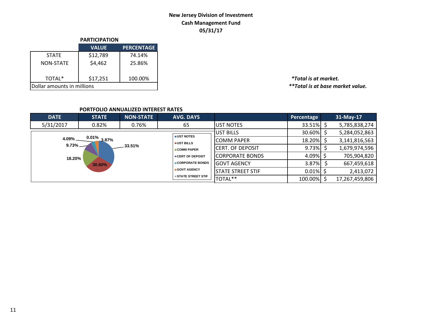### **New Jersey Division of Investment Cash Management Fund 05/31/17**

|                            | <b>PARTICIPATION</b> |                   |  |  |  |  |
|----------------------------|----------------------|-------------------|--|--|--|--|
|                            | <b>VALUE</b>         | <b>PERCENTAGE</b> |  |  |  |  |
| <b>STATE</b>               | \$12,789             | 74.14%            |  |  |  |  |
| <b>NON-STATE</b>           | \$4,462              | 25.86%            |  |  |  |  |
| TOTAL*                     | \$17,251             | 100.00%           |  |  |  |  |
| Dollar amounts in millions |                      |                   |  |  |  |  |

TOTAL\* \$17,251 100.00% *\*Total is at market.*  $*$ \*Total is at base market value.

### **PORTFOLIO ANNUALIZED INTEREST RATES**

| <b>DATE</b>  | <b>STATE</b>   | <b>NON-STATE</b> | <b>AVG. DAYS</b>         |                          | Percentage   | 31-May-17      |
|--------------|----------------|------------------|--------------------------|--------------------------|--------------|----------------|
| 5/31/2017    | 0.82%          | 0.76%            | 65                       | <b>JUST NOTES</b>        | $33.51\%$ \$ | 5,785,838,274  |
|              |                |                  | <b>UST NOTES</b>         | UST BILLS                | 30.60% \$    | 5,284,052,863  |
| $4.09\%$ $-$ | $0.01\%$ 3.87% |                  | <b>UST BILLS</b>         | <b>COMM PAPER</b>        | 18.20% \$    | 3,141,816,563  |
| $9.73\%$ $-$ |                | .33.51%          | COMM PAPER               | <b>ICERT. OF DEPOSIT</b> | 9.73%        | 1,679,974,596  |
| 18.20%       |                |                  | <b>CERT OF DEPOSIT</b>   | <b>CORPORATE BONDS</b>   | $4.09\%$ \$  | 705,904,820    |
|              | 30.60%         |                  | ■ CORPORATE BONDS        | <b>GOVT AGENCY</b>       | $3.87\%$     | 667,459,618    |
|              |                |                  | GOVT AGENCY              | <b>STATE STREET STIF</b> | $0.01\%$     | 2,413,072      |
|              |                |                  | <b>STATE STREET STIF</b> | TOTAL**                  | 100.00%      | 17,267,459,806 |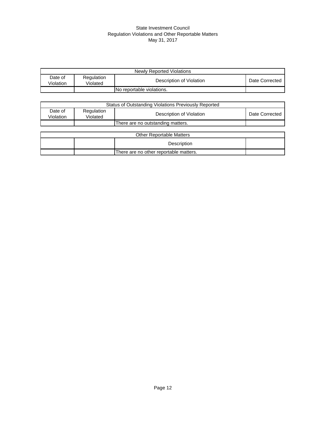#### State Investment Council Regulation Violations and Other Reportable Matters May 31, 2017

| Newly Reported Violations |                        |                           |                |  |  |
|---------------------------|------------------------|---------------------------|----------------|--|--|
| Date of<br>Violation      | Regulation<br>Violated | Description of Violation  | Date Corrected |  |  |
|                           |                        | No reportable violations. |                |  |  |

| Status of Outstanding Violations Previously Reported |                        |                                        |                |  |  |
|------------------------------------------------------|------------------------|----------------------------------------|----------------|--|--|
| Date of<br>Violation                                 | Regulation<br>Violated | Description of Violation               | Date Corrected |  |  |
|                                                      |                        | There are no outstanding matters.      |                |  |  |
|                                                      |                        |                                        |                |  |  |
|                                                      |                        | <b>Other Reportable Matters</b>        |                |  |  |
|                                                      |                        | Description                            |                |  |  |
|                                                      |                        | There are no other reportable matters. |                |  |  |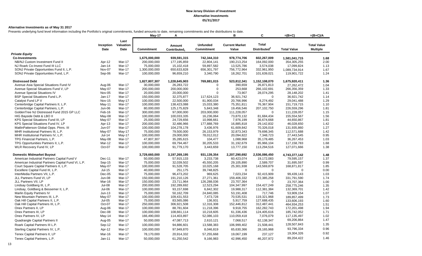#### **Alternative Investments as of May 31 2017**

Presents underlying fund level information including the Portfolio's original commitments, funded amounts to date, remaining commitments and the distributions to date.

|                                                    |               |                   | <b>May-17</b>     | А                        |                   | в                     | C                        | $=(B+C)$           | $=(B+C)/A$         |
|----------------------------------------------------|---------------|-------------------|-------------------|--------------------------|-------------------|-----------------------|--------------------------|--------------------|--------------------|
|                                                    | Inception     | Last<br>Valuation |                   | Amount                   | <b>Unfunded</b>   | <b>Current Market</b> | <b>Total</b>             |                    | <b>Total Value</b> |
|                                                    | <b>Date</b>   | Date              | <b>Commitment</b> | Contributed <sub>1</sub> | <b>Commitment</b> | Value                 | Distributed <sup>2</sup> | <b>Total Value</b> | <b>Multiple</b>    |
| <b>Private Equity</b>                              |               |                   |                   |                          |                   |                       |                          |                    |                    |
| <b>Co-Investments</b>                              |               |                   | 1,675,000,000     | 939,591,315              | 742,344,310       | 978,774,706           | 602,267,009              | 1,581,041,715      | 1.68               |
| NB/NJ Custom Investment Fund II                    | Apr-12        | Mar-17            | 200,000,000       | 177,195,859              | 22,804,141        | 190,213,254           | 164,092,000              | 354,305,255        | 2.00               |
| NJ Roark Co-Invest Fund III LLC                    | Jan-14        | Mar-17            | 75,000,000        | 15,102,418               | 59,897,582        | 13,525,786            | 3,574,038                | 17,099,824         | 1.13               |
| SONJ Private Opportunities Fund II, L.P.           | Nov-07        | Mar-17            | 1,300,000,000     | 650,633,828              | 656,301,797       | 756,772,964           | 332,961,950              | 1,089,734,914      | 1.67               |
| SONJ Private Opportunities Fund, L.P.              | Sep-06        | Mar-17            | 100,000,000       | 96,659,210               | 3,340,790         | 18,262,701            | 101,639,021              | 119,901,722        | 1.24               |
| <b>Distressed Debt</b>                             |               |                   | 1,827,807,307     | 1,228,645,903            | 769,881,015       | 523,812,341           | 1,152,108,070            | 1,675,920,411      | 1.36               |
| Avenue Asia Special Situations Fund IV             | Aug-06        | Mar-17            | 30,000,000        | 26,283,722               | $\mathbf 0$       | 390,659               | 26,871,813               | 27,262,472         | 1.04               |
| Avenue Special Situations Fund V, LP               | May-07        | Mar-17            | 200,000,000       | 200,000,000              | $\boldsymbol{0}$  | 253,668               | 266,102,691              | 266,356,359        | 1.33               |
| Avenue Special Situations IV                       | Nov-05        | Mar-17            | 20,000,000        | 20,000,000               | $\Omega$          | 73,907                | 28,074,295               | 28,148,202         | 1.41               |
| <b>BSP Special Situations Fund L.P.</b>            | Jan-17        | Mar-17            | 150,000,000       | 32,375,877               | 117,624,123       | 36,921,742            | $\Omega$                 | 36,921,742         | 1.14               |
| Catalyst Fund LP V                                 | <b>Nov-15</b> | May-17            | 100,000,000       | 22,500,000               | 81,900,034        | 20,766,996            | 8,274,492                | 29,041,488         | 1.29               |
| Centerbridge Capital Partners II, L.P.             | May-11        | Mar-17            | 100,000,000       | 138,423,088              | 15,033,380        | 75,351,811            | 76,367,904               | 151,719,715        | 1.10               |
| Centerbridge Capital Partners, L.P.                | Jun-06        | Mar-17            | 80,000,000        | 125, 175, 829            | 5,843,348         | 19,456,546            | 207,102,750              | 226,559,296        | 1.81               |
| GoldenTree NJ Distressed Fund 2015 GP LLC          | Feb-16        | Mar-17            | 300,000,000       | 97,000,000               | 203,000,000       | 111,228,057           | $\mathbf 0$              | 111,228,057        | 1.15               |
| HIG Bayside Debt & LBO II                          | May-08        | Mar-17            | 100,000,000       | 100,033,335              | 16,236,064        | 73,870,132            | 81,684,434               | 155,554,567        | 1.56               |
| KPS Special Situations Fund III, LP                | May-07        | Mar-17            | 25,000,000        | 24,729,656               | 10,998,661        | 7,976,199             | 36,674,668               | 44,650,867         | 1.81               |
| KPS Special Situations Fund IV, LP                 | Apr-13        | Mar-17            | 200,000,000       | 32,486,966               | 177,888,769       | 16,885,818            | 29,142,832               | 46,028,650         | 1.42               |
| MatlinPatterson Global Opps. Ptnrs. III            | Jun-07        | Mar-17            | 100,000,000       | 104,278,178              | 3,436,976         | 61,609,842            | 70,326,018               | 131,935,860        | 1.27               |
| MHR Institutional Partners III, L.P.               | May-07        | $May-17$          | 75,000,000        | 79,500,000               | 26,153,979        | 32,873,343            | 79,698,345               | 112,571,688        | 1.42               |
| MHR Institutional Partners IV, L.P.                | $Jul-14$      | May-17            | 100,000,000       | 29,000,000               | 78,012,012        | 20,094,822            | 7,348,723                | 27,443,545         | 0.95               |
| TPG Financial Partners, L.P.                       | May-08        | Mar-17            | 47,807,307        | 35,285,615               | 104,477           | 1,088,968             | 35,178,485               | 36,267,453         | 1.03               |
| TPG Opportunities Partners II, L.P.                | Mar-12        | Mar-17            | 100,000,000       | 69,794,467               | 30,205,533        | 31,192,679            | 85,966,104               | 117, 158, 783      | 1.68               |
| WLR Recovery Fund IV, LP                           | Oct-07        | Mar-17            | 100,000,000       | 91,779,170               | 3,443,659         | 13,777,150            | 113,294,516              | 127,071,666        | 1.38               |
| <b>Domestic Midmarket Buyout</b>                   |               |                   | 3,729,660,000     | 3,197,269,195            | 931,139,354       | 2,207,290,692         | 2,536,086,450            | 4,743,377,142      | 1.48               |
| American Industrial Partners Capital Fund V        | Dec-11        | Mar-17            | 50,000,000        | 57,915,133               | 3,233,738         | 60,423,074            | 19,172,083               | 79,595,157         | 1.37               |
| American Industrial Partners Capital Fund VI, L.P. | Sep-15        | Mar-17            | 75,000,000        | 32,039,502               | 45,550,205        | 29,105,890            | 2,589,707                | 31,695,597         | 0.99               |
| Court Square Capital Partners II, L.P.             | May-07        | Mar-17            | 100.000.000       | 91,528,705               | 10,025,168        | 25,301,938            | 143,569,879              | 168,871,817        | 1.85               |
| Excellere Capital Fund III, L.P.                   | $Jul-15$      | Mar-17            | 40,000,000        | 251,175                  | 39,748,825        | $\mathbf 0$           | $\Omega$                 | $\mathbf 0$        | 0.00               |
| InterMedia Partners VII, L.P.                      | $Dec-05$      | Mar-17            | 75,000,000        | 96,473,202               | 969,625           | 7,023,234             | 92,415,909               | 99,439,143         | 1.03               |
| JLL Partners Fund VI, LP                           | <b>Jun-08</b> | Mar-17            | 150,000,000       | 191,210,126              | 27,271,361        | 159,406,332           | 172,385,258              | 331,791,590        | 1.74               |
| JLL Partners VII, LP                               | Mar-16        | Mar-17            | 150,000,000       | 23,711,964               | 126,288,036       | 23,707,364            | $\Omega$                 | 23,707,364         | 1.00               |
| Lindsay Goldberg III, L.P.                         | $Jul-08$      | Mar-17            | 200,000,000       | 192,289,692              | 12,523,294        | 104,347,997           | 154,427,249              | 258,775,246        | 1.35               |
| Lindsay, Goldberg & Bessemer II, L.P.              | Jul-06        | Mar-17            | 100,000,000       | 93,157,698               | 6,842,302         | 19,988,317            | 112,381,384              | 132,369,701        | 1.42               |
| Marlin Equity Partners IV                          | $Jun-13$      | Mar-17            | 75,000,000        | 50,162,709               | 24,840,085        | 53,191,408            | 717,746                  | 53,909,154         | 1.07               |
| New Mountain Partners III, L.P.                    | May-07        | Mar-17            | 100,000,000       | 109,431,553              | 7,473,728         | 70,535,531            | 119,321,968              | 189,857,499        | 1.73               |
| Oak Hill Capital Partners II, L.P.                 | Jul-05        | Mar-17            | 75,000,000        | 83,565,086               | 136,931           | 5,917,759             | 127,688,435              | 133.606.193        | 1.60               |
| Oak Hill Capital Partners III, L.P.                | Oct-07        | Mar-17            | 250,000,000       | 306,921,508              | 12,316,308        | 152,446,812           | 312,487,441              | 464,934,253        | 1.51               |
| Onex Partners II, LP                               | Aug-06        | Mar-17            | 100,000,000       | 88,781,604               | 11,218,396        | 9,918,755             | 162,282,743              | 172,201,498        | 1.94               |
| Onex Partners III, LP                              | Dec-08        | Mar-17            | 100,000,000       | 108,661,114              | 10,218,605        | 61,336,436            | 124,405,616              | 185,742,052        | 1.71               |
| Onex Partners IV, LP                               | May-14        | Mar-17            | 166,490,000       | 114,403,897              | 52,086,103        | 110,059,418           | 7,076,079                | 117,135,497        | 1.02               |
| Quadrangle Capital Partners II                     | Aug-05        | Mar-17            | 50,000,000        | 47,087,713               | 2,610,121         | 7,068,517             | 62,138,347               | 69,206,864         | 1.47               |
| Roark Capital Partners III L.P.                    | Sep-12        | Mar-17            | 100,000,000       | 94,886,601               | 13,588,383        | 106,999,402           | 21,508,441               | 128,507,843        | 1.35               |
| Sterling Capital Partners IV, L.P.                 | Apr-12        | Mar-17            | 100,000,000       | 97,949,870               | 8,046,819         | 65,630,366            | 28,165,968               | 93,796,334         | 0.96               |
| Tenex Capital Partners II, LP                      | Mar-16        | Mar-17            | 78,170,000        | 20,914,332               | 57,255,668        | 19,067,199            | 237,127                  | 19,304,326         | 0.92               |
|                                                    |               |                   |                   |                          |                   |                       |                          | 89,204,422         | 1.46               |
| Tenex Capital Partners, L.P.                       | Jan-11        | Mar-17            | 50,000,000        | 61,250,542               | 9,166,983         | 42,996,450            | 46,207,972               |                    |                    |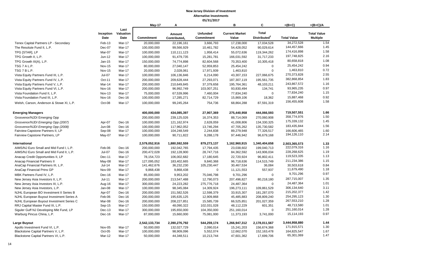|                                          |                   |                           | May-17            | A                                  |                                      | B                              | C                                        | $=(B+C)$           | $=(B+C)/A$                            |
|------------------------------------------|-------------------|---------------------------|-------------------|------------------------------------|--------------------------------------|--------------------------------|------------------------------------------|--------------------|---------------------------------------|
|                                          | Inception<br>Date | Last<br>Valuation<br>Date | <b>Commitment</b> | Amount<br>Contributed <sub>1</sub> | <b>Unfunded</b><br><b>Commitment</b> | <b>Current Market</b><br>Value | <b>Total</b><br>Distributed <sup>2</sup> | <b>Total Value</b> | <b>Total Value</b><br><b>Multiple</b> |
| Tenex Capital Partners LP - Secondary    | Feb-13            | Mar-17                    | 20,000,000        | 22,196,161                         | 3,666,793                            | 17,238,000                     | 17,034,528                               | 34,272,528         | 1.54                                  |
| The Resolute Fund II, L.P.               | Dec-07            | <b>Mar-17</b>             | 100,000,000       | 99,566,929                         | 10,461,782                           | 54,428,052                     | 90,029,614                               | 144,457,666        | 1.45                                  |
| TPG [STAR], LP                           | Mar-07            | Mar-17                    | 100,000,000       | 110,111,123                        | 1,958,414                            | 55,072,636                     | 119,344,262                              | 174,416,898        | 1.58                                  |
| TPG Growth II, L.P.                      | Jun-12            | Mar-17                    | 100,000,000       | 91,479,735                         | 15,281,781                           | 166,031,592                    | 31,717,233                               | 197,748,825        | 2.16                                  |
| TPG Growth III(A), L.P.                  | Jan-15            | Mar-17                    | 150,000,000       | 74,774,898                         | 82,604,568                           | 70,353,400                     | 10,305,418                               | 80,658,818         | 1.08                                  |
| TSG 7 A L.P.                             | <b>Nov-15</b>     | Mar-17                    | 80,000,000        | 27,040,147                         | 52,959,853                           | 25,454,242                     | $\mathbf 0$                              | 25,454,242         | 0.94                                  |
| TSG 7 B L.P.                             | <b>Nov-15</b>     | Mar-17                    | 20,000,000        | 2,028,061                          | 17,971,939                           | 1,463,810                      | $\mathbf 0$                              | 1,463,810          | 0.72                                  |
| Vista Equity Partners Fund III, L.P.     | Jul-07            | Mar-17                    | 100,000,000       | 106,136,846                        | 6,214,090                            | 43,307,153                     | 227,066,675                              | 270,373,828        | 2.55                                  |
| Vista Equity Partners Fund IV, L.P.      | Oct-11            | Mar-17                    | 200,000,000       | 209,628,444                        | 27,293,071                           | 187,307,119                    | 195,561,735                              | 382,868,854        | 1.83                                  |
| Vista Equity Partners Fund V, L.P.       | Mar-14            | Mar-17                    | 200,000,000       | 210,649,845                        | 37,379,658                           | 195,764,361                    | 48,103,211                               | 243,867,572        | 1.16                                  |
| Vista Equity Partners Fund VI, L.P.      | Nov-16            | Mar-17                    | 200,000,000       | 96,992,749                         | 103,007,251                          | 93,830,494                     | 134,741                                  | 93,965,235         | 0.97                                  |
| Vista Foundation Fund II, L.P.           | <b>Nov-13</b>     | Mar-17                    | 75,000,000        | 67,539,996                         | 7,460,004                            | 77,834,240                     | $\pmb{0}$                                | 77,834,240         | 1.15                                  |
| Vista Foundation Fund III, L.P.          | Nov-16            | Dec-16                    | 100,000,000       | 17,285,271                         | 82,714,729                           | 15,869,106                     | 18,362                                   | 15,887,468         | 0.92                                  |
| Welsh, Carson, Anderson & Stowe XI, L.P. | Oct-08            | Mar-17                    | 100,000,000       | 99,245,264                         | 754,736                              | 68,864,288                     | 87,591,319                               | 156,455,608        | 1.58                                  |
| <b>Emerging Managers</b>                 |                   |                           | 400,000,000       | 434,085,397                        | 27,907,369                           | 275,440,958                    | 444,066,593                              | 719,507,551        | 1.66                                  |
| Grosvenor/NJDI Emerging Opp              |                   |                           | 200,000,000       | 239,125,026                        | 16,374,353                           | 88,714,069                     | 270,060,908                              | 358,774,976        | 1.50                                  |
| Grosvenor/NJDI Emerging Opp (2007)       | Apr-07            | Dec-16                    | 100,000,000       | 121, 162, 974                      | 2,628,059                            | 41,008,806                     | 134,330,325                              | 175,339,132        | 1.45                                  |
| Grosvenor/NJDI Emerging Opp (2008)       | <b>Jun-08</b>     | Dec-16                    | 100.000.000       | 117.962.052                        | 13,746,294                           | 47.705.262                     | 135.730.582                              | 183,435,844        | 1.56                                  |
| Fairview Capstone Partners II, LP        | Sep-08            | Mar-17                    | 100,000,000       | 104,248,549                        | 2,244,838                            | 89,279,948                     | 77,326,517                               | 166,606,465        | 1.60                                  |
| Fairview Capstone Partners, LP           | May-07            | Mar-17                    | 100,000,000       | 90,711,822                         | 9,288,178                            | 97,446,942                     | 96,679,168                               | 194,126,110        | 2.14                                  |
| International                            |                   |                           | 2,579,052,916     | 1,880,592,559                      | 879,273,137                          | 1,162,960,915                  | 1,340,404,658                            | 2,503,365,573      | 1.33                                  |
| AIMS/NJ Euro Small and Mid Fund I, L.P.  | Feb-06            | Dec-16                    | 200,000,000       | 192,042,765                        | 17,794,435                           | 23,038,602                     | 199,040,713                              | 222,079,316        | 1.16                                  |
| AIMS/NJ Euro Small and Mid Fund II, L.P. | <b>Jul-07</b>     | Dec-16                    | 200,472,028       | 192,128,900                        | 28,747,716                           | 84,362,592                     | 143,906,034                              | 228,268,625        | 1.19                                  |
| Anacap Credit Opportunities II, LP       | Dec-11            | Mar-17                    | 78,154,723        | 106,002,682                        | 17,180,645                           | 22,720,924                     | 96,802,411                               | 119,523,335        | 1.13                                  |
| Anacap Financial Partners II             | May-08            | Mar-17                    | 127.095.052       | 183.402.665                        | 9.840.368                            | 96.718.636                     | 114.515.749                              | 211,234,386        | 1.15                                  |
| AnaCap Financial Partners III, L.P.      | $Jul-14$          | Mar-17                    | 141,462,676       | 36,232,230                         | 105,230,447                          | 30,467,534                     | 36,084                                   | 30,503,618         | 0.84                                  |
| AnaCap Financial Prtns GP                | Nov-09            | Mar-17                    | 9,868,438         | 9,868,438                          | $\mathbf 0$                          | 11,121,553                     | 557,937                                  | 11,679,490         | 1.18                                  |
| MBK Partners Fund IV, L.P.               | Dec-16            | Mar-17                    | 85,000,000        | 9,953,202                          | 75,046,798                           | 9,701,296                      | $\mathbf 0$                              | 9,701,296          | 0.97                                  |
| New Jersey Asia Investors II, L.P.       | $Jul-11$          | Mar-17                    | 200,000,000       | 213,547,488                        | 12,790,073                           | 207,496,827                    | 80,218,180                               | 287,715,007        | 1.35                                  |
| New Jersey Asia Investors III, L.P.      | Aug-16            | Mar-17                    | 300,000,000       | 24,223,282                         | 275,776,718                          | 24,487,364                     | $\Omega$                                 | 24,487,364         | 1.01                                  |
| New Jersey Asia Investors, L.P.          | Jan-08            | Mar-17                    | 100,000,000       | 98,345,084                         | 14,309,924                           | 196,273,111                    | 109,861,529                              | 306,134,640        | 3.11                                  |
| NJHL European BO Investment II Series B  | Apr-07            | Dec-16                    | 200,000,000       | 151,582,526                        | 12,598,379                           | 33,915,307                     | 181,287,070                              | 215,202,377        | 1.42                                  |
| NJHL European Buyout Investment Series A | Feb-06            | Dec-16                    | 200,000,000       | 195,635,125                        | 12,909,868                           | 45,485,883                     | 208,809,240                              | 254,295,123        | 1.30                                  |
| NJHL European Buyout Investment Series C | Mar-08            | Dec-16                    | 200,000,000       | 208,227,851                        | 15,585,739                           | 66,525,851                     | 201,027,359                              | 267,553,210        | 1.28                                  |
| RRJ Capital Master Fund III, L.P.        | Sep-15            | Mar-17                    | 150,000,000       | 48,090,322                         | 102,031,028                          | 48,112,229                     | 601,351                                  | 48,713,580         | 1.01<br>1.28                          |
| Siguler Guff NJ Developing Mkt Fund, LP  | $Dec-13$          | Mar-17                    | 300,000,000       | 195,650,000                        | 104,350,000                          | 251,160,014                    | $\Omega$                                 | 251,160,014        | 0.97                                  |
| Warburg Pincus China, L.P.               | Dec-16            | Mar-17                    | 87,000,000        | 15,660,000                         | 75,081,000                           | 11,373,193                     | 3,741,000                                | 15,114,193         |                                       |
| Large Buyout                             |                   |                           | 2,542,133,734     | 2,390,276,792                      | 544,259,174                          | 1,266,947,312                  | 2,178,011,567                            | 3,444,958,880      | 1.44                                  |
| Apollo Investment Fund VI, L.P.          | <b>Nov-05</b>     | <b>Mar-17</b>             | 50,000,000        | 132,027,729                        | 2,090,014                            | 15,241,203                     | 156,674,368                              | 171,915,571        | 1.30                                  |
| Blackstone Capital Partners V, L.P.      | $Oct-05$          | <b>Mar-17</b>             | 100,000,000       | 98,909,096                         | 5,552,074                            | 12,662,070                     | 152, 163, 478                            | 164,825,547        | 1.67                                  |
| Blackstone Capital Partners VI, L.P.     | Mar-12            | Mar-17                    | 50,000,000        | 44,348,511                         | 10,213,744                           | 47,601,362                     | 17,699,706                               | 65,301,069         | 1.47                                  |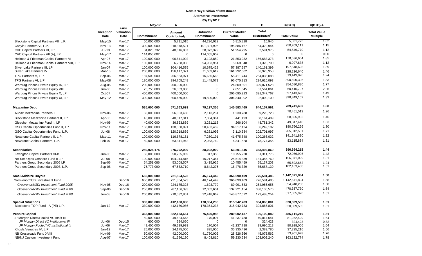|                                                |                   |                           | May-17                    | A                                  |                                      | B                              | C                                        | $=(B+C)$           | $=(B+C)/A$                            |
|------------------------------------------------|-------------------|---------------------------|---------------------------|------------------------------------|--------------------------------------|--------------------------------|------------------------------------------|--------------------|---------------------------------------|
|                                                | Inception<br>Date | Last<br>Valuation<br>Date | Commitment                | Amount<br>Contributed <sub>1</sub> | <b>Unfunded</b><br><b>Commitment</b> | <b>Current Market</b><br>Value | <b>Total</b><br>Distributed <sup>2</sup> | <b>Total Value</b> | <b>Total Value</b><br><b>Multiple</b> |
| Blackstone Capital Partners VII, L.P.          | $May-15$          | Mar-17                    | 50,000,000                | 5,711,015                          | 44,296,022                           | 5,815,828                      | 15,945                                   | 5,831,773          | 1.02                                  |
| Carlyle Partners VI, L.P.                      | <b>Nov-13</b>     | Mar-17                    | 300,000,000               | 218,378,521                        | 101,301,905                          | 195,886,167                    | 54,322,944                               | 250,209,111        | 1.15                                  |
| CVC Capital Partners VI, LP                    | $Jul-13$          | Mar-17                    | 84,828,732                | 48,616,807                         | 38,372,329                           | 51,954,795                     | 2,591,975                                | 54,546,770         | 1.12                                  |
| CVC Capital Partners VII (A), LP               | May-17            | Mar-17                    | 114,055,002               | $\mathbf 0$                        | 114,055,002                          | $\mathbf 0$                    | $\mathbf 0$                              | $\mathbf 0$        | 0.00                                  |
| Hellman & Friedman Capital Partners VI         | Apr-07            | Mar-17                    | 100,000,000               | 96,641,002                         | 3,193,850                            | 21,853,232                     | 156,683,373                              | 178,536,604        | 1.85                                  |
| Hellman & Friedman Capital Partners VIII, L.P. | Nov-14            | Mar-17                    | 100,000,000               | 6,238,036                          | 94,963,954                           | 5,668,848                      | 1,328,790                                | 6,997,638          | 1.12                                  |
| Silver Lake Partners III, LP                   | Jan-07            | Mar-17                    | 100,000,000               | 104,416,535                        | 10,675,428                           | 57,387,297                     | 140,161,399                              | 197,548,696        | 1.89                                  |
| Silver Lake Partners IV                        | <b>Mar-13</b>     | Mar-17                    | 200,000,000               | 156,117,321                        | 71,659,617                           | 161,292,682                    | 66,923,958                               | 228,216,640        | 1.46                                  |
| TPG Partners V, L.P.                           | Sep-06            | Mar-17                    | 187,500,000               | 256,833,971                        | 16,636,663                           | 55,411,744                     | 264,038,083                              | 319,449,826        | 1.24                                  |
| TPG Partners VI, L.P.                          | May-08            | Mar-17                    | 180,000,000               | 294,705,248                        | 11,448,571                           | 96,075,213                     | 294,615,093                              | 390,690,306        | 1.33                                  |
| Warburg Pincus Private Equity IX, LP           | Aug-05            | Mar-17                    | 200,000,000               | 200,000,000                        | $\overline{0}$                       | 24,809,301                     | 329,871,528                              | 354,680,830        | 1.77                                  |
| Warburg Pincus Private Equity VIII             | Jun-06            | Mar-17                    | 25,750,000                | 26,883,000                         | 0                                    | 2,851,645                      | 57,564,061                               | 60,415,707         | 2.25                                  |
| Warburg Pincus Private Equity X, LP            | Oct-07            | Mar-17                    | 400,000,000               | 400,000,000                        | $\Omega$                             | 206,095,923                    | 391,347,767                              | 597,443,690        | 1.49                                  |
| Warburg Pincus Private Equity XI, LP           | $May-12$          | Mar-17                    | 300,000,000               | 300,450,000                        | 19,800,000                           | 306,340,002                    | 92,009,100                               | 398,349,102        | 1.33                                  |
| <b>Mezzanine Debt</b>                          |                   |                           | 535,000,000               | 571,663,693                        | 79,197,355                           | 145,583,469                    | 644,157,961                              | 789,741,430        | 1.38                                  |
| Audax Mezzanine Partners II                    | Nov-06            | Mar-17                    | 50,000,000                | 56,053,460                         | 2,113,231                            | 1,230,788                      | 69,220,723                               | 70,451,512         | 1.26                                  |
| Blackstone Mezzanine Partners II, LP           | Apr-06            | Mar-17                    | 45,000,000                | 40,017,311                         | 7,804,361                            | 441,493                        | 58,164,409                               | 58,605,902         | 1.46                                  |
| Gleacher Mezzanine Fund II, LP                 | Nov-06            | Mar-17                    | 40,000,000                | 36,823,869                         | 3,251,218                            | 266,104                        | 48,781,342                               | 49,047,446         | 1.33                                  |
| GSO Capital Opportunities Fund II, LP          | <b>Nov-11</b>     | Mar-17                    | 150,000,000               | 138,530,091                        | 50,463,489                           | 94,517,124                     | 86,249,102                               | 180,766,226        | 1.30                                  |
| GSO Capital Opportunities Fund, L.P.           | $Jul-08$          | Mar-17                    | 100,000,000               | 120,218,859                        | 6,281,096                            | 3,110,584                      | 202,701,997                              | 205,812,581        | 1.71                                  |
|                                                |                   |                           |                           |                                    |                                      |                                |                                          | 141,941,880        | 1.22                                  |
| Newstone Capital Partners II, L.P.             | May-11<br>Feb-07  | Mar-17<br>Mar-17          | 100,000,000<br>50,000,000 | 116,678,161                        | 7,250,191                            | 41,675,848                     | 100,266,032<br>78,774,356                | 83,115,884         | 1.31                                  |
| Newstone Capital Partners, L.P.                |                   |                           |                           | 63,341,942                         | 2,033,769                            | 4,341,528                      |                                          |                    |                                       |
| <b>Secondaries</b>                             |                   |                           | 280,024,175               | 275,292,009                        | 28,092,900                           | 63,201,346                     | 333,492,869                              | 396,694,215        | 1.44                                  |
| Lexington Capital Partners VI-B                | Jun-06            | Mar-17                    | 50,000,000                | 50,705,969                         | 817,356                              | 10,755,220                     | 61,311,776                               | 72,066,996         | 1.42                                  |
| NB Sec Opps Offshore Fund II LP                | $Jul-08$          | Mar-17                    | 100.000.000               | 104.044.815                        | 15,217,344                           | 25,514,339                     | 131,356,760                              | 156,871,099        | 1.51                                  |
| Partners Group Secondary 2006 LP               | Sep-06            | Mar-17                    | 54,251,086                | 53,008,507                         | 3,415,926                            | 10,455,459                     | 55,137,203                               | 65,592,662         | 1.24                                  |
| Partners Group Secondary 2008, L.P.            | Sep-08            | Mar-17                    | 75,773,090                | 67,532,719                         | 8,642,275                            | 16,476,329                     | 85,687,130                               | 102,163,458        | 1.51                                  |
| <b>Small/Midsize Buyout</b>                    |                   |                           | 650,000,000               | 721,864,523                        | 46,174,449                           | 366,090,409                    | 776,581,485                              | 1,142,671,894      | 1.58                                  |
| Grosvenor/NJDI Investment Fund                 |                   | Dec-16                    | 650,000,000               | 721,864,523                        | 46,174,449                           | 366,090,409                    | 776,581,485                              | 1,142,671,894      | 1.58                                  |
| Grosvenor/NJDI Investment Fund 2005            | Nov-05            | Dec-16                    | 200,000,000               | 224,175,328                        | 1,693,779                            | 89,991,583                     | 264,956,655                              | 354,948,238        | 1.58                                  |
| Grosvenor/NJDI Investment Fund 2006            | Sep-06            | Dec-16                    | 250,000,000               | 287, 156, 393                      | 12,062,604                           | 132,221,154                    | 338,136,576                              | 470,357,730        | 1.64                                  |
| Grosvenor/NJDI Investment Fund 2008            | <b>Jun-08</b>     | Dec-16                    | 200,000,000               | 210,532,801                        | 32,418,067                           | 143,877,672                    | 173,488,254                              | 317,365,926        | 1.51                                  |
| <b>Special Situations</b>                      |                   |                           | 330,000,000               | 412,180,086                        | 178,354,238                          | 315,942,783                    | 304,866,801                              | 620,809,585        | 1.51                                  |
| Blackstone TOP Fund - A (PE) L.P.              | $Jan-12$          | Mar-17                    | 330,000,000               | 412,180,086                        | 178,354,238                          | 315,942,783                    | 304,866,801                              | 620,809,585        | 1.51                                  |
| <b>Venture Capital</b>                         |                   |                           | 365,000,000               | 322,123,664                        | 76,420,988                           | 289,002,137                    | 196,109,082                              | 485,111,219        | 1.51                                  |
| JP Morgan Direct/Pooled VC Instit III          |                   |                           | 50,000,000                | 49,624,643                         | 170,007                              | 41,237,788                     | 40,014,641                               | 81,252,429         | 1.64                                  |
| JP Morgan Direct VC Institutional III          | $Jul-06$          | Dec-15                    | 600,000                   | 394,650                            | $\Omega$                             | $\Omega$                       | 324,423                                  | 324,423            | 0.82                                  |
| JP Morgan Pooled VC Institutional III          | Jul-06            | Mar-17                    | 49,400,000                | 49,229,993                         | 170,007                              | 41,237,788                     | 39,690,218                               | 80,928,006         | 1.64                                  |
| Khosla Venutres IV, L.P.                       | $Jan-12$          | Mar-17                    | 25,000,000                | 24,175,000                         | 825,000                              | 35,335,436                     | 2,389,780                                | 37,725,216         | 1.56                                  |
| NB Crossroads Fund XVIII                       | Nov-06            | Mar-17                    | 50,000,000                | 42,000,000                         | 41,750,002                           | 28,826,366                     | 45,075,562                               | 73,901,928         | 1.76                                  |
| NB/NJ Custom Investment Fund                   | Aug-07            | Mar-17                    | 100,000,000               | 91,596,190                         | 8,403,810                            | 59,230,534                     | 103,902,240                              | 163, 132, 774      | 1.78                                  |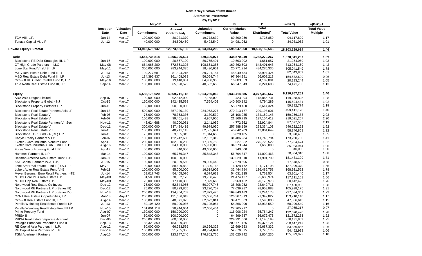|                                                |               |                  | May-17         | Α                        |                   | в                     | C                        | $=(B+C)$           | $=(B+C)/A$         |
|------------------------------------------------|---------------|------------------|----------------|--------------------------|-------------------|-----------------------|--------------------------|--------------------|--------------------|
|                                                | Inception     | <b>Valuation</b> |                | Amount                   | <b>Unfunded</b>   | <b>Current Market</b> | Total                    |                    | <b>Total Value</b> |
|                                                | Date          | Date             | Commitment     | Contributed <sub>1</sub> | <b>Commitment</b> | Value                 | Distributed <sup>2</sup> | <b>Total Value</b> | <b>Multiple</b>    |
| TCV VIII, L.P.                                 | $Jan-14$      | Mar-17           | 100,000,000    | 80,221,370               | 19,778,630        | 89,390,950            | 4,726,859                | 94,117,809         | 1.17               |
| Tenaya Capital VI, L.P.                        | Jul-12        | Mar-17           | 40,000,000     | 34,506,460               | 5,493,540         | 34,981,062            | $\mathbf 0$              | 34,981,062         | 1.01               |
| <b>Private Equity Subtotal</b>                 |               |                  | 14,913,678,132 | 12,373,585,136           | 4,303,044,290     | 7,595,047,068         | 10,508,152,545           | 18,103,199,614     | 1.46               |
| <b>Debt</b>                                    |               |                  | 1,557,738,818  | 1,205,006,524            | 429,300,074       | 438,570,940           | 1,232,270,267            | 1,670,841,207      | 1.39               |
| Blackstone RE Debt Strategies III, L.P.        | Jun-16        | Mar-17           | 100,000,000    | 20,567,100               | 80,765,491        | 19,593,002            | 1,661,057                | 21,254,060         | 1.03               |
| CT High Grade Partners II, LLC                 | May-08        | Mar-17           | 664,065,200    | 572,861,303              | 108,661,385       | 169,862,503           | 643,401,648              | 813,264,150        | 1.42               |
| Lone Star Fund VII (U.S.) LP                   | May-11        | Mar-17           | 300,000,000    | 283,944,335              | 18,490,651        | 20,771,214            | 484,270,335              | 505,041,549        | 1.78               |
| M&G Real Estate Debt Fund II, LP               | $Jul-13$      | Mar-17           | 109,277,681    | 81,394,215               | 39,791,187        | 48,049,434            | 33,994,424               | 82,043,859         | 1.01               |
| M&G Real Estate Debt Fund III, LP              | $Jul-13$      | Mar-17           | 184,395,937    | 161,408,088              | 56,069,744        | 97,964,391            | 56,608,218               | 154,572,609        | 0.96               |
| Och-Ziff RE Credit Parallel Fund B, L.P        | $May-16$      | Mar-17           | 100,000,000    | 19,140,961               | 84,968,930        | 16,083,353            | 4,109,891                | 20,193,244         | 1.05               |
| True North Real Estate Fund III, LP            | Sep-14        | Mar-17           | 100,000,000    | 65,690,522               | 40,552,686        | 66,247,043            | 8,224,693                | 74,471,736         | 1.13               |
| Equity                                         |               |                  | 5,583,178,020  | 4,369,711,118            | 1,854,250,062     | 3.033.414.585         | 3,077,352,667            | 6,110,767,252      | 1.40               |
| ARA Asia Dragon Limited                        | Sep-07        | Mar-17           | 100,000,000    | 92,842,000               | 7,158,000         | 423.094               | 118,865,731              | 119,288,825        | 1.28               |
| Blackstone Property Global - NJ                | Oct-15        | Mar-17           | 150,000,000    | 142,435,598              | 7,564,402         | 140,900,142           | 4,794,289                | 145,694,431        | 1.02               |
| Blackstone Property Partners L.P.              | Jun-15        | Mar-17           | 50,000,000     | 50,000,000               | $\mathbf 0$       | 55,778,450            | 3,614,324                | 59,392,774         | 1.19               |
| Blackstone Real Estate Partners Asia LP        | $Jun-13$      | Mar-17           | 500.000.000    | 357,020,139              | 284,953,277       | 270,213,177           | 229.198.001              | 499,411,178        | 1.40               |
| <b>Blackstone Real Estate V</b>                | Feb-06        | Mar-17           | 75,000,000     | 78,353,336               | 3,130,539         | 25,106,035            | 134, 150, 148            | 159,256,183        | 2.03               |
| <b>Blackstone Real Estate VI</b>               | Feb-07        | Mar-17           | 100,000,000    | 99,401,438               | 4,907,906         | 21,866,795            | 197, 154, 413            | 219,021,207        | 2.20               |
| <b>Blackstone Real Estate Partners VI, Sec</b> | <b>Nov-11</b> | Mar-17           | 43,624,688     | 40,000,081               | 2,141,059         | 4,772,662             | 82,924,844               | 87,697,506         | 2.19               |
| <b>Blackstone Real Estate VII</b>              | Dec-11        | Mar-17           | 300,000,000    | 337,484,419              | 49,979,050        | 257,888,159           | 288,334,103              | 546,222,262        | 1.62               |
| <b>Blackstone Real Estate VIII</b>             | $Jan-15$      | Mar-17           | 100,000,000    | 48,211,143               | 62,555,691        | 45,042,209            | 13,804,649               | 58,846,858         | 1.22               |
| Blackstone TOP Fund - A (RE) L.P.              | $Jan-15$      | Mar-17           | 75,000,000     | 3,655,315                | 71,344,685        | 3,828,405             | $\Omega$                 | 3,828,405          | 1.05               |
| Carlyle Realty Partners V LP                   | Feb-07        | Mar-17           | 100,000,000    | 122,742,600              | 22,102,319        | 31,486,984            | 141,743,784              | 173,230,768        | 1.41               |
| Exeter - Core Industrial Venture Fund          | Apr-12        | Mar-17           | 200,000,000    | 182.630.250              | 17,369,750        | 527,952               | 276,726,522              | 277,254,474        | 1.52               |
| Exeter Core Industrial Club Fund II, L.P.      | Aug-16        | Mar-17           | 100,000,000    | 34,100,000               | 65,900,000        | 34,273,944            | 1,650,000                | 35.923.944         | 1.05               |
| Focus Senior Housing Fund I LP                 | Apr-17        | Mar-17           | 50,000,000     | 340,000                  | 49,660,000        | 340,000               | $\Omega$                 | 340,000            | 1.00               |
| Hammes Partners II, L.P.                       | Mar-14        | Mar-17           | 100,000,000    | 65,759,347               | 35,848,348        | 56,794,847            | 14,009,463               | 70,804,310         | 1.08               |
| Heitman America Real Estate Trust, L.P.        | Jan-07        | Mar-17           | 100,000,000    | 100,000,000              | $\Omega$          | 139,529,310           | 41,901,799               | 181,431,109        | 1.81               |
| KSL Capital Partners IV-A, L.P.                | $Jul-15$      | Mar-17           | 100,000,000    | 20,009,560               | 79,990,440        | 17,678,506            | $\Omega$                 | 17,678,506         | 0.88               |
| Lone Star Real Estate Fund II (U.S.) LP        | May-11        | Mar-17           | 100,000,000    | 88,609,832               | 11,390,168        | 16,128,172            | 121,171,198              | 137,299,370        | 1.55               |
| Lubert Adler Real Estate Fund VI-B             | Feb-11        | Mar-17           | 100,000,000    | 95,000,000               | 16,614,909        | 32,444,794            | 136,486,758              | 168,931,552        | 1.78               |
| Meyer Bergman Euro Retail Partners II-TE       | $Jul-14$      | Mar-17           | 59,017,743     | 54,405,076               | 6,574,639         | 54,031,935            | 9,769,504                | 63,801,440         | 1.17               |
| NJDOI Core Plus Real Estate L.P.               | May-08        | Mar-17           | 81,500,000     | 70,582,173               | 19,788,473        | 21,474,127            | 95,636,974               | 117,111,101        | 1.66               |
| NJDOI Opp Real Estate L.P.                     | May-08        | Mar-17           | 25,000,000     | 17,170,335               | 7,829,665         | 9,968,452             | 20,173,973               | 30,142,425         | 1.76               |
| Northwood Real Estate Co-Invest                | $Dec-12$      | Mar-17           | 75,000,000     | 52,644,965               | 50,997,746        | 38,808,252            | 28,642,711               | 67.450.963         | 1.28               |
| Northwood RE Partners L.P., (Series III)       | $Dec-12$      | Mar-17           | 75,000,000     | 80,729,855               | 23,220,757        | 77,039,287            | 28,958,888               | 105.998.175        | 1.31               |
| Northwood RE Partners L.P., (Series IV)        | Nov-13        | Mar-17           | 200,000,000    | 194,364,703              | 72,879,475        | 169,840,183           | 67,244,178               | 237,084,361        | 1.22               |
| OZNJ Real Estate Opportunities, LP             | Mar-13        | $May-17$         | 200,000,000    | 131,686,043              | 95,656,784        | 126,367,313           | 27,342,827               | 153,710,140        | 1.17               |
| Och-Ziff Real Estate Fund III, LP              | Aug-14        | Mar-17           | 100,000,000    | 40,871,923               | 62,622,814        | 39,471,563            | 7,595,080                | 47,066,643         | 1.15               |
| Perella Weinberg Real Estate Fund II LP        | $Jul-13$      | Mar-17           | 89,105,120     | 59,000,036               | 30,105,084        | 54,366,000            | 13,933,550               | 68,299,549         | 1.16               |
| Perella Weinberg Real Estate Fund III LP       | <b>Nov-15</b> | Mar-17           | 101,601,118    | 28,944,664               | 72,656,454        | 27,965,217            | $\mathbf 0$              | 27,965,217         | 0.97               |
| <b>Prime Property Fund</b>                     | Aug-07        | Mar-17           | 130,000,000    | 150,000,000              | $\Omega$          | 116,906,224           | 75,764,247               | 192,670,470        | 1.28               |
| PRISA II                                       | Jun-07        | Mar-17           | 60,000,000     | 100,000,000              | $\mathbf 0$       | 64,899,787            | 56,672,476               | 121,572,263        | 1.22               |
| PRISA Real Estate Separate Account             | Dec-06        | Mar-17           | 265,000,000    | 300,000,000              | $\mathbf 0$       | 224,991,666           | 151,140,193              | 376,131,859        | 1.25               |
| Prologis European Properties Fund II           | Sep-13        | Mar-17           | 183,329,350    | 183,329,350              | $\Omega$          | 209,771,126           | 40,376,121               | 250, 147, 247      | 1.36               |
| RE Capital Asia Partners III, L.P.             | Aug-12        | Mar-17           | 80,000,000     | 66,283,559               | 19,326,328        | 23,699,553            | 59,687,332               | 83,386,885         | 1.26               |
| RE Capital Asia Partners IV, L.P.              | Dec-14        | Mar-17           | 100,000,000    | 51,205,306               | 48,794,694        | 52,676,825            | 1,776,173                | 54,452,998         | 1.06<br>1.10       |
| <b>TGM Apartment Partners</b>                  | Aug-15        | Mar-17           | 300,000,000    | 123, 147, 240            | 176,852,760       | 133,025,742           | 2,804,230                | 135,829,972        |                    |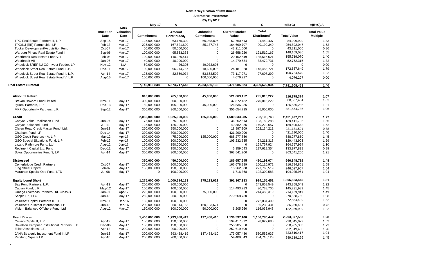|                                                                   |                   |                           | May-17            | Α                                  |                               | в                              | C                                        | $=(B+C)$           | $=(B+C)/A$                            |
|-------------------------------------------------------------------|-------------------|---------------------------|-------------------|------------------------------------|-------------------------------|--------------------------------|------------------------------------------|--------------------|---------------------------------------|
|                                                                   | Inception<br>Date | Last<br>Valuation<br>Date | <b>Commitment</b> | Amount<br>Contributed <sub>1</sub> | <b>Unfunded</b><br>Commitment | <b>Current Market</b><br>Value | <b>Total</b><br>Distributed <sup>2</sup> | <b>Total Value</b> | <b>Total Value</b><br><b>Multiple</b> |
| TPG Real Estate Partners II, L.P.                                 | Sep-15            | Mar-17                    | 125,000,000       | 63,155,320                         | 66,938,805                    | 62,760,513                     | 21,449,407                               | 84,209,920         | 1.33                                  |
| TPG/NJ (RE) Partnership, LP                                       | Feb-13            | Mar-17                    | 225,000,000       | 167,621,600                        | 85, 137, 747                  | 164,699,707                    | 90,192,340                               | 254,892,047        | 1.52                                  |
| Tucker Development/Acquisition Fund                               | Oct-07            | Mar-17                    | 50,000,000        | 50,000,000                         | 0                             | 43,211,000                     | $\mathbf 0$                              | 43,211,000         | 0.86                                  |
| Warburg Pincus Real Estate Fund I                                 | Sep-06            | Mar-17                    | 100,000,000       | 95,833,333                         | $\Omega$                      | 26,658,920                     | 121,510,167                              | 148,169,086        | 1.55                                  |
| Westbrook Real Estate Fund VIII                                   | Feb-08            | Mar-17                    | 100,000,000       | 110,980,414                        | 0                             | 20,102,549                     | 135,616,521                              | 155,719,070        | 1.40                                  |
| Westbrook VII                                                     | Jan-07            | Mar-17                    | 40,000,000        | 40,000,000                         | $\Omega$                      | 14,279,584                     | 38,472,731                               | 52,752,315         | 1.32                                  |
| Wheelock SREF NJ CO-Invest Feeder, LP                             | <b>Nov-12</b>     | N/A                       | 50,000,000        | 26,305                             | 49,973,695                    | $\mathbf 0$                    | 0                                        | 0                  | 0.00                                  |
| Wheelock Street Real Estate Fund, L.P.                            | Dec-11            | Mar-17                    | 100,000,000       | 96,274,787                         | 18,620,096                    | 24,181,928                     | 148,455,721                              | 172,637,649        | 1.79                                  |
| Wheelock Street Real Estate Fund II, L.P.                         | Apr-14            | Mar-17                    | 125,000,000       | 82,859,074                         | 53,663,502                    | 73,117,271                     | 27,607,299                               | 100,724,570        | 1.22                                  |
| Wheelock Street Real Estate Fund V, L.P                           | Aug-16            | Mar-17                    | 100,000,000       | 0                                  | 100,000,000                   | 4,076,227                      | 0                                        | 4,076,227          | 0.00                                  |
| <b>Real Estate Subtotal</b>                                       |                   |                           | 7,140,916,838     | 5,574,717,642                      | 2,283,550,136                 | 3,471,985,524                  | 4,309,622,934                            | 7,781,608,458      | 1.40                                  |
|                                                                   |                   |                           |                   |                                    |                               |                                |                                          |                    |                                       |
| <b>Absolute Return</b>                                            |                   |                           | 810,000,000       | 765,000,000                        | 45,000,000                    | 521,063,152                    | 295,815,222                              | 816,878,374        | 1.07                                  |
| Brevan Howard Fund Limited                                        | <b>Nov-11</b>     | $May-17$                  | 300,000,000       | 300,000,000                        | $\mathbf 0$                   | 37,872,182                     | 270,815,222                              | 308,687,404        | 1.03                                  |
| Iguazu Partners, L.P.                                             | Dec-13            | May-17                    | 150,000,000       | 105,000,000                        | 45,000,000                    | 126,536,235                    | $\mathbf 0$                              | 126,536,235        | 1.21                                  |
| MKP Opportunity Partners, L.P.                                    | Sep-12            | May-17                    | 360,000,000       | 360,000,000                        | $\mathbf 0$                   | 356,654,735                    | 25,000,000                               | 381,654,735        | 1.06                                  |
|                                                                   |                   |                           |                   |                                    |                               |                                |                                          |                    |                                       |
| <b>Credit</b>                                                     |                   |                           | 2,050,000,000     | 1,925,000,000                      | 125,000,000                   | 1,689,333,985                  | 762,103,748                              | 2,451,437,733      | 1.27                                  |
| Canyon Value Realization Fund                                     | Jun-07            | May-17                    | 75,000,000        | 75,000,000                         | 0                             | 36,252,513                     | 103,159,283                              | 139,411,796        | 1.86                                  |
| Canyon Balanced Fund                                              | Jul-11            | May-17                    | 125,000,000       | 125,000,000                        | 0                             | 49,382,985                     | 140,222,657                              | 189,605,642        | 1.52                                  |
| Claren Road Credit Master Fund, Ltd.                              | Jun-12            | May-17                    | 250,000,000       | 250,000,000                        | $\Omega$                      | 18,997,309                     | 202,134,211                              | 221, 131, 521      | 0.88                                  |
| Chatham Fund, LP                                                  | Dec-14            | May-17                    | 300,000,000       | 300,000,000                        | $\Omega$                      | 421,290,000                    | 0                                        | 421,290,000        | 1.40                                  |
| GSO Credit Partners - A, L.P.                                     | Mar-12            | Apr-17                    | 600,000,000       | 475,000,000                        | 125,000,000                   | 688,277,850                    | $\mathbf 0$                              | 688,277,850        | 1.45                                  |
| GSO Special Situations Fund, L.P.                                 | Feb-12            | Apr-17                    | 100,000,000       | 100,000,000                        | 0                             | 105,232,585                    | 24,211,318                               | 129,443,903        | 1.29                                  |
| Lazard Rathmore Fund, Ltd.                                        | Aug-12            | $Jun-16$                  | 150,000,000       | 150,000,000                        | 0                             | $\Omega$                       | 164,757,924                              | 164,757,924        | 1.10                                  |
| Regiment Capital Ltd. Fund                                        | Dec-11            | May-17                    | 150,000,000       | 150,000,000                        | 0                             | 6,359,543                      | 127,618,354                              | 133,977,898        | 0.89                                  |
| Solus Opportunities Fund 3, LP                                    | Apr-14            | May-17                    | 300,000,000       | 300,000,000                        | $\mathbf 0$                   | 363,541,200                    | 0                                        | 363,541,200        | 1.21                                  |
|                                                                   |                   |                           |                   |                                    | $\bf{0}$                      |                                |                                          |                    |                                       |
| <b>Distressed</b>                                                 |                   |                           | 350,000,000       | 450,000,000                        |                               | 186,657,645                    | 480,191,074                              | 666,848,719        | 1.48                                  |
| Centerbridge Credit Partners                                      | Oct-07            | May-17                    | 200,000,000       | 200,000,000                        | 0<br>0                        | 166,678,889<br>18,262,388      | 150,115,972<br>227,765,519               | 316,794,861        | 1.58                                  |
| King Street Capital                                               | Feb-07<br>Jul-08  | May-17                    | 150,000,000<br>0  | 150,000,000                        | 0                             |                                |                                          | 246,027,907        | 1.64                                  |
| Marathon Special Opp Fund, LTD                                    |                   | May-17                    |                   | 100,000,000                        |                               | 1,716,368                      | 102,309,583                              | 104,025,951        | 1.04                                  |
| <b>Equity Long/ Short</b>                                         |                   |                           | 1,275,000,000     | 1,000,314,183                      | 275,123,621                   | 391,367,993                    | 914,155,451                              | 1,305,523,445      | 1.31                                  |
| Bay Pond Partners, L.P.                                           | Apr-12            | May-17                    | 200,000,000       | 200,000,000                        | 0                             | $\overline{0}$                 | 243,858,549                              | 243,858,549        | 1.22                                  |
| Cadian Fund, L.P.                                                 | May-12            | May-17                    | 100,000,000       | 100,000,000                        | 0                             | 114,493,283                    | 30,738,706                               | 145,231,989        | 1.45                                  |
| Omega Overseas Partners Ltd. Class-B                              | Jan-07            | Apr-17                    | 225,000,000       | 150,000,000                        | 75,000,000                    | $\overline{0}$                 | 214,459,319                              | 214,459,319        | 1.43                                  |
| Scopia PX, LLC                                                    | $Jan-13$          | May-17                    | 250,000,000       | 250,000,000                        | $\Omega$                      | 270,668,750                    | 0                                        | 270,668,750        | 1.08                                  |
| ValueAct Capital Partners II, L.P.                                | <b>Nov-11</b>     | Dec-16                    | 150,000,000       | 150,000,000                        | $\Omega$                      | $\Omega$                       | 272,834,499                              | 272,834,499        | 1.82                                  |
| ValueAct Co-Invest International LP                               | $Jun-13$          | Dec-16                    | 200,000,000       | 50,314,183                         | 150,123,621                   | $\mathbf 0$                    | 36,230,431                               | 36,230,431         | 0.72                                  |
| Visium Balanced Offshore Fund, Ltd                                | Aug-12            | Mar-17                    | 150,000,000       | 100,000,000                        | 50,000,000                    | 6,205,960                      | 116,033,948                              | 122,239,909        | 1.22                                  |
|                                                                   |                   |                           |                   |                                    |                               |                                |                                          |                    |                                       |
| <b>Event Driven</b>                                               |                   |                           | 1,400,000,000     | 1,793,458,419                      | 137,458,410                   | 1,136,597,106                  | 1,156,780,447                            | 2,293,377,553      | 1.28                                  |
| Cevian Capital II, L.P.                                           | Apr-12            | May-17                    | 150,000,000       | 150,000,000                        | $\mathbf{0}$                  | 199,417,392                    | 28,627,680                               | 228,045,072        | 1.52                                  |
| Davidson Kempner Institutional Partners, L.P                      | Dec-06            | $May-17$                  | 150,000,000       | 150,000,000                        | 0                             | 258,985,350                    | 0                                        | 258,985,350        | 1.73                                  |
|                                                                   | Apr-12            | Mar-17                    | 200,000,000       | 200,000,000                        | 0                             | 252,619,400                    | 0                                        | 252,619,400        | 1.26                                  |
|                                                                   |                   |                           |                   |                                    |                               |                                |                                          |                    |                                       |
| Elliott Associates, L.P.<br>JANA Strategic Investment Fund II, LP | $Jun-13$          | May-17                    | 300,000,000       | 693,458,419                        | 137,458,410                   | 173,057,480                    | 550,552,937                              | 723,610,417        | 1.04                                  |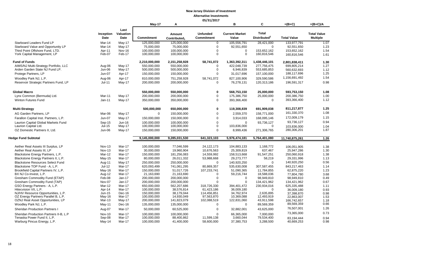|                                                             | 05/31/2017              |                           |                            |                                    |                                      |                                |                                          |                          |                                       |
|-------------------------------------------------------------|-------------------------|---------------------------|----------------------------|------------------------------------|--------------------------------------|--------------------------------|------------------------------------------|--------------------------|---------------------------------------|
|                                                             |                         |                           | May-17                     | Α                                  |                                      | в                              | C                                        | $=(B+C)$                 | $=(B+C)/A$                            |
|                                                             | Inception<br>Date       | Last<br>Valuation<br>Date | <b>Commitment</b>          | Amount<br>Contributed <sub>1</sub> | <b>Unfunded</b><br><b>Commitment</b> | <b>Current Market</b><br>Value | <b>Total</b><br>Distributed <sup>2</sup> | <b>Total Value</b>       | <b>Total Value</b><br><b>Multiple</b> |
| <b>Starboard Leaders Fund LP</b>                            | Mar-14                  | May-17                    | 125,000,000                | 125.000.000                        | $\mathbf 0$                          | 105,556,791                    | 28,421,000                               | 133,977,791              | 1.07                                  |
| Starboard Value and Opportunity LP                          | Mar-14                  | $May-17$                  | 75,000,000                 | 75,000,000                         | $\mathbf 0$                          | 92,551,650                     | $\mathbf 0$                              | 92,551,650               | 1.23                                  |
| Third Point Offshore Fund, LTD.                             | Apr-11                  | <b>Nov-16</b>             | 100,000,000                | 100,000,000                        | $\overline{0}$                       | 0                              | 153,652,162                              | 153,652,162              | 1.54                                  |
| York Capital Management, LP                                 | Feb-07                  | Feb-17                    | 100,000,000                | 100,000,000                        | $\Omega$                             | $\Omega$                       | 160,816,546                              | 160,816,546              | 1.61                                  |
| <b>Fund of Funds</b>                                        |                         |                           | 2,210,000,000              | 2,151,258,928                      | 58,741,072                           | 1,363,392,311                  | 1,438,446,101                            | 2,801,838,411            | 1.30                                  |
| AIMS/NJ Multi-Strategy Portfolio, LLC                       | Aug-06                  | May-17                    | 550,000,000                | 550,000,000                        | $\Omega$                             | 422,048,739                    | 277,756,475                              | 699,805,214              | 1.27                                  |
| Arden Garden State NJ Fund LP.                              | Jun-06                  | $May-17$                  | 500,000,000                | 500,000,000                        | $\mathbf 0$                          | 6,946,839                      | 553,685,853                              | 560,632,693              | 1.12                                  |
| Protege Partners, LP                                        | $Jun-07$                | Apr-17                    | 150,000,000                | 150,000,000                        | $\Omega$                             | 31,017,696                     | 157,100,000                              | 188,117,696              | 1.25                                  |
| Woodley Park NJ, L.P.                                       | Aug-06                  | Apr-17                    | 810,000,000                | 751,258,928                        | 58,741,072                           | 827,100,906                    | 329,590,586                              | 1,156,691,492            | 1.54                                  |
| Reservoir Strategic Partners Fund, LP                       | Jul-11                  | $May-17$                  | 200,000,000                | 200,000,000                        | $\mathbf 0$                          | 76,278,131                     | 120,313,186                              | 196,591,317              | 0.98                                  |
| <b>Global Macro</b>                                         |                         |                           | 550,000,000                | 550,000,000                        | 0                                    | 568,753,150                    | 25,000,000                               | 593,753,150              | 1.08                                  |
| Lynx Common (Bermuda) Ltd.                                  | Mar-11                  | $May-17$                  | 200,000,000                | 200,000,000                        | $\mathbf 0$                          | 175,386,750                    | 25,000,000                               | 200,386,750              | 1.00                                  |
| Winton Futures Fund                                         | $Jan-11$                | May-17                    | 350,000,000                | 350.000.000                        | $\mathbf 0$                          | 393,366,400                    | $\Omega$                                 | 393,366,400              | 1.12                                  |
| <b>Multi-Strategy</b>                                       |                         |                           | 500,000,000                | 650,000,000                        | 0                                    | 119,308,839                    | 691,909,038                              | 811,217,877              | 1.25                                  |
| AG Garden Partners, LP                                      | Mar-06                  | $May-17$                  | $\mathbf 0$                | 150,000,000                        | $\mathbf 0$                          | 2,559,370                      | 158,771,000                              | 161,330,370              | 1.08                                  |
| Farallon Capital Inst. Partners, L.P.                       | Jun-07                  | May-17                    | 150,000,000                | 150,000,000                        | $\Omega$                             | 3,914,033                      | 168,095,146                              | 172,009,179              | 1.15                                  |
| Laurion Capital Global Markets Fund                         | Sep-15                  | Jun-16                    | 100.000.000                | 100.000.000                        | $\mathbf 0$                          | $\Omega$                       | 93,736,127                               | 93,736,127               | 0.94                                  |
| Laurion Capital Ltd.                                        | Jul-15                  | $May-17$                  | 100,000,000                | 100,000,000                        | $\Omega$                             | 103,836,000                    | $\mathbf 0$                              | 103,836,000              | 1.04                                  |
| OZ Domestic Partners II, Ltd.                               | Jun-06                  | $May-17$                  | 150,000,000                | 150,000,000                        | $\Omega$                             | 8,999,436                      | 271,306,765                              | 280,306,201              | 1.87                                  |
|                                                             |                         |                           |                            |                                    |                                      |                                |                                          |                          |                                       |
| Hedge Fund Subtotal                                         |                         |                           | 9,145,000,000              | 9,285,031,530                      | 641,323,103                          | 5,976,474,181                  | 5,764,401,080                            | 11,740,875,261           | 1.26                                  |
| Aether Real Assets III Surplus, LP                          | <b>Nov-13</b>           | Mar-17                    | 100,000,000                | 77,046,599                         | 24,122,173                           | 104,883,133                    | 1,168,772                                | 106,051,905              | 1.38                                  |
| Aether Real Assets III. LP                                  | <b>Nov-13</b>           | Mar-17                    | 30,000,000                 | 19,960,904                         | 10,676,563                           | 25,309,819                     | 637,467                                  | 25,947,286               | 1.30                                  |
| Blackstone Energy Partners, L.P.                            | Mar-12                  | Mar-17                    | 150,000,000                | 181,256,083                        | 14,559,992                           | 158,513,668                    | 91,547,251                               | 250.060.918              | 1.38                                  |
| Blackstone Energy Partners II, L.P.                         | May-15                  | Mar-17                    | 80,000,000                 | 26,011,332                         | 53,988,668                           | 29,273,777                     | 58,219                                   | 29,331,996               | 1.13                                  |
| <b>Blackstone Resources Select Fund</b>                     | Aug-11                  | $May-17$                  | 250,000,000                | 250,000,000                        | $\Omega$                             | 140,920,250                    | $\Omega$                                 | 140,920,250              | 0.56                                  |
| Blackstone TOP Fund - A. L.P.                               | $Jul-12$                | Mar-17                    | 620,093,499                | 741,061,295                        | 80,869,357                           | 535,630,008                    | 307,587,455                              | 843,217,463              | 1.14                                  |
| Brookfield Capital Partners IV, L.P.                        | $May-16$                | Mar-17                    | 150,000,000                | 51,017,726                         | 107,233,741                          | 51,090,365                     | 11,784,855                               | 62,875,220               | 1.23                                  |
| BX NJ Co-Invest, L.P.                                       | Aug-12                  | Mar-17                    | 21,163,690                 | 21,163,690                         | $\mathbf 0$                          | 59,216,744                     | 18,588,036                               | 77,804,780               | 3.68                                  |
| Gresham Commodity Fund (ETAP)                               | Feb-08                  | $Jan-17$                  | 200,000,000                | 200,000,000                        | $\overline{0}$                       | $\Omega$                       | 98,949,810                               | 98,949,810               | 0.49                                  |
| Gresham Commodity Fund (TAP)                                | Nov-07                  | $Jan-17$                  | 200,000,000                | 200,000,000                        | $\Omega$                             | 0                              | 134,421,962                              | 134,421,962              | 0.67                                  |
| GSO Energy Partners - A, L.P.                               | Mar-12                  | Mar-17                    | 650,000,000                | 562,207,686                        | 318,726,330                          | 394,401,472                    | 230,934,016                              | 625,335,488              | 1.11                                  |
| Hitecvision VII, L.P.<br>NJ/HV Resource Opportunities, L.P. | Apr-14<br><b>Jun-15</b> | Mar-17<br>Dec-16          | 100,000,000<br>150.000.000 | 38,576,814<br>38.179.044           | 61,423,186<br>114.456.851            | 36,009,180<br>34.762.974       | $\Omega$<br>2.635.895                    | 36,009,180               | 0.93                                  |
| OZ Energy Partners Parallel B, L.P.                         | May-16                  | Mar-17                    | 100.000.000                | 14,930,049                         | 97.563.870                           | 10,369,088                     | 12.493.919                               | 37,398,870<br>22,863,007 | 0.98<br>1.53                          |
| OZNJ Real Asset Opportunities, LP                           | Mar-13                  | May-17                    | 200,000,000                | 141,823,079                        | 102,088,519                          | 122,831,060                    | 43,911,598                               | 166,742,657              | 1.18                                  |
| Woodley Park NJ, L.P.                                       | May-11                  | Dec-16                    | 135,000,000                | 135,000,000                        | $\overline{0}$                       | $\mathbf 0$                    | 89,569,359                               | 89,569,359               | 0.66                                  |
| <b>Sheridan Production Partners I</b>                       | Aug-07                  | Mar-17                    | 50,000,000                 | 60,525,000                         | $\overline{0}$                       | 32,882,001                     | 43,625,000                               | 76,507,001               | 1.26                                  |
| Sheridan Production Partners II-B, L.P                      | <b>Nov-10</b>           | Mar-17                    | 100,000,000                | 100,000,000                        | $\Omega$                             | 66,365,000                     | 7,000,000                                | 73,365,000               | 0.73                                  |
| Tenaska Power Fund II, L.P.                                 | Sep-08                  | Mar-17                    | 100,000,000                | 88,400,862                         | 11,599,138                           | 3,660,044                      | 79,534,400                               | 83,194,444               | 0.94                                  |
| Warburg Pincus Energy, L.P.                                 | May-14                  | Mar-17                    | 100,000,000                | 41,400,000                         | 58,600,000                           | 37,380,753                     | 3,288,500                                | 40,669,253               | 0.98                                  |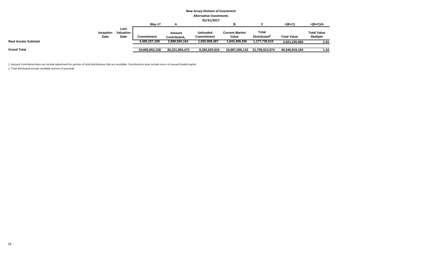|                             | <b>New Jersey Division of Investment</b> |                           |                |                        |                               |                                |                                   |                    |                                       |  |  |
|-----------------------------|------------------------------------------|---------------------------|----------------|------------------------|-------------------------------|--------------------------------|-----------------------------------|--------------------|---------------------------------------|--|--|
|                             | <b>Alternative Investments</b>           |                           |                |                        |                               |                                |                                   |                    |                                       |  |  |
|                             | 05/31/2017                               |                           |                |                        |                               |                                |                                   |                    |                                       |  |  |
|                             |                                          |                           | $May-17$       |                        |                               | в                              | Ĉ                                 | $=(B+C)$           | $=(B+C)/A$                            |  |  |
|                             | Inception<br>Date                        | Last<br>Valuation<br>Date | Commitment     | Amount<br>Contributed. | <b>Unfunded</b><br>Commitment | <b>Current Market</b><br>Value | Total<br>Distributed <sup>2</sup> | <b>Total Value</b> | <b>Total Value</b><br><b>Multiple</b> |  |  |
| <b>Real Assets Subtotal</b> |                                          |                           | 3,486,257,189  | 2,988,560,164          | 1,055,908,387                 | 1,843,499,336                  | 1,177,736,515                     | 3,021,235,850      | 1.01                                  |  |  |
| <b>Grand Total</b>          |                                          |                           | 34,685,852,158 | 30,221,894,472         | 8,283,825,916                 | 18,887,006,110                 | 21,759,913,074                    | 40,646,919,184     | 1.34                                  |  |  |

1. Amount Contributed does not include adjustment for portion of total distributions that are recallable. Contributions does include return of unused funded capital.

2. Total distributed include recallable portion of proceeds.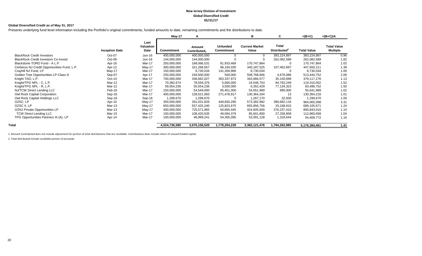#### **New Jersey Division of Investment Global Diversified Credit 05/31/17**

#### **Global Diversified Credit as of May 31, 2017**

Presents underlying fund level information including the Portfolio's original commitments, funded amounts to date, remaining commitments and the distributions to date.

|                                             |                       |                           | May-17            | A                      |                               | в                              | C                                        | $=(B+C)$           | $=(B+C)/A$                            |
|---------------------------------------------|-----------------------|---------------------------|-------------------|------------------------|-------------------------------|--------------------------------|------------------------------------------|--------------------|---------------------------------------|
|                                             | <b>Inception Date</b> | Last<br>Valuation<br>Date | <b>Commitment</b> | Amount<br>Contributed, | <b>Unfunded</b><br>Commitment | <b>Current Market</b><br>Value | <b>Total</b><br>Distributed <sup>2</sup> | <b>Total Value</b> | <b>Total Value</b><br><b>Multiple</b> |
| <b>BlackRock Credit Investors</b>           | Oct-07                | Jun-16                    | 400,000,000       | 400,000,000            |                               | 0                              | 383,224,897                              | 383,224,897        | 0.96                                  |
| <b>BlackRock Credit Investors Co-Invest</b> | Oct-09                | $Jun-16$                  | 144,000,000       | 144,000,000            |                               |                                | 262,082,589                              | 262,082,589        | 1.82                                  |
| Blackstone TORO Fund - A L.P.               | Apr-16                | Mar-17                    | 250,000,000       | 168,066,531            | 81,933,469                    | 170,747,864                    | 0                                        | 170,747,864        | 1.02                                  |
| Cerberus NJ Credit Opportunities Fund, L.P. | Apr-12                | May-17                    | 300,000,000       | 321,268,657            | 86,194,030                    | 340,187,525                    | 107,462,687                              | 447,650,211        | 1.39                                  |
| Crayhill NJ Fund, LP                        | May-17                | Mar-17                    | 150,000,000       | 8,730,034              | 141,269,966                   | 8,730,034                      | $\Omega$                                 | 8,730,034          | 1.00                                  |
| Golden Tree Opportunities LP-Class D        | Sep-07                | Apr-17                    | 250,000,000       | 249,500,000            | 500,000                       | 508,768,666                    | 4,676,086                                | 513,444,752        | 2.06                                  |
| Knight TAO, L.P.                            | $Oct-14$              | Mar-17                    | 700,000,000       | 336,662,027            | 363,337,973                   | 343,966,577                    | 35,150,699                               | 379,117,276        | 1.13                                  |
| Knight/TPG NPL - C, L.P.                    | Mar-12                | Mar-17                    | 70,382,674        | 78,556,376             | 5,000,000                     | 24,546,753                     | 94,763,249                               | 119,310,002        | 1.52                                  |
| Knight/TPG NPL - R, L.P.                    | Mar-12                | Mar-17                    | 59,054,236        | 55,554,236             | 3,500,000                     | 6,352,429                      | 77,134,323                               | 83,486,752         | 1.50                                  |
| NJ/TCW Direct Lending LLC                   | Feb-16                | Mar-17                    | 150,000,000       | 54,549,000             | 95,451,000                    | 54,651,989                     | 990,000                                  | 55,641,989         | 1.02                                  |
| Owl Rock Capital Corporation                | Sep-16                | Mar-17                    | 400,000,000       | 128,521,083            | 271,478,917                   | 130,364,204                    | 13                                       | 130,364,216        | 1.01                                  |
| Owl Rock Capital Holdings LLC               | Sep-16                | Sep-16                    | 1,299,670         | 1,299,670              |                               | 1,267,170                      | 32,500                                   | 1,299,670          | 1.00                                  |
| OZSC, LP                                    | Apr-10                | May-17                    | 350,000,000       | 291,031,826            | 449,650,290                   | 573,382,982                    | 390,682,116                              | 964,065,098        | 3.31                                  |
| OZSC II, LP                                 | Mar-13                | May-17                    | 650,000,000       | 557,425,240            | 125,823,675                   | 655,856,756                    | 33,248,915                               | 689,105,671        | 1.24                                  |
| OZNJ Private Opportunities LP               | Mar-13                | May-17                    | 400,000,000       | 725,571,965            | 50,665,445                    | 424,605,600                    | 376,237,410                              | 800,843,010        | 1.10                                  |
| <b>TCW Direct Lending LLC</b>               | Mar-15                | Mar-17                    | 150,000,000       | 108,420,635            | 49,094,379                    | 85,601,800                     | 27,258,858                               | 112,860,658        | 1.04                                  |
| TPG Opportunities Partners III (A), LP      | Apr-14                | Mar-17                    | 100,000,000       | 46,999,241             | 54,305,095                    | 53,091,128                     | 1,318,644                                | 54,409,772         | 1.16                                  |
| Total                                       |                       |                           | 4,524,736,580     | 3,676,156,520          | 1,778,204,239                 | 3,382,121,476                  | 1,794,262,985                            | 5,176,384,461      | 1.41                                  |

1. Amount Contributed does not include adjustment for portion of total distributions that are recallable. Contributions does include return of unused funded capital.

2. Total distributed include recallable portion of proceeds.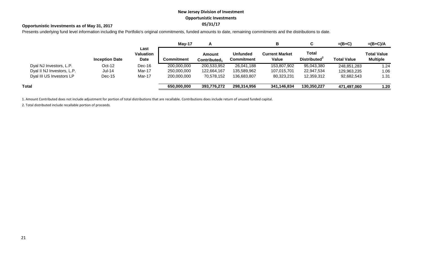# **New Jersey Division of Investment Opportunistic Investments**

## **05/31/17 Opportunistic Investments as of May 31, 2017**

Presents underlying fund level information including the Portfolio's original commitments, funded amounts to date, remaining commitments and the distributions to date.

|                            |                       |                                  | $M$ ay-17   |                                           |                                      | в                              |                                          | $=(B+C)$           | $=(B+C)/A$                            |
|----------------------------|-----------------------|----------------------------------|-------------|-------------------------------------------|--------------------------------------|--------------------------------|------------------------------------------|--------------------|---------------------------------------|
|                            | <b>Inception Date</b> | Last<br>Valuation<br><b>Date</b> | Commitment  | <b>Amount</b><br>Contributed <sub>1</sub> | <b>Unfunded</b><br><b>Commitment</b> | <b>Current Market</b><br>Value | <b>Total</b><br>Distributed <sup>2</sup> | <b>Total Value</b> | <b>Total Value</b><br><b>Multiple</b> |
| Dyal NJ Investors, L.P.    | $Oct-12$              | Dec-16                           | 200,000,000 | 200,533,952                               | 26,041,188                           | 153,807,902                    | 95,043,380                               | 248,851,283        | 1.24                                  |
| Dyal II NJ Investors, L.P. | <b>Jul-14</b>         | Mar-17                           | 250,000,000 | 122,664,167                               | 135,589,962                          | 107,015,701                    | 22,947,534                               | 129,963,235        | 1.06                                  |
| Dyal III US Investors LP   | $Dec-15$              | Mar-17                           | 200,000,000 | 70,578,152                                | 136,683,807                          | 80,323,231                     | 12,359,312                               | 92,682,543         | 1.31                                  |
| Total                      |                       |                                  | 650,000,000 | 393,776,272                               | 298,314,956                          | 341,146,834                    | 130,350,227                              | 471,497,060        | 1.20                                  |

1. Amount Contributed does not include adjustment for portion of total distributions that are recallable. Contributions does include return of unused funded capital.

2. Total distributed include recallable portion of proceeds.